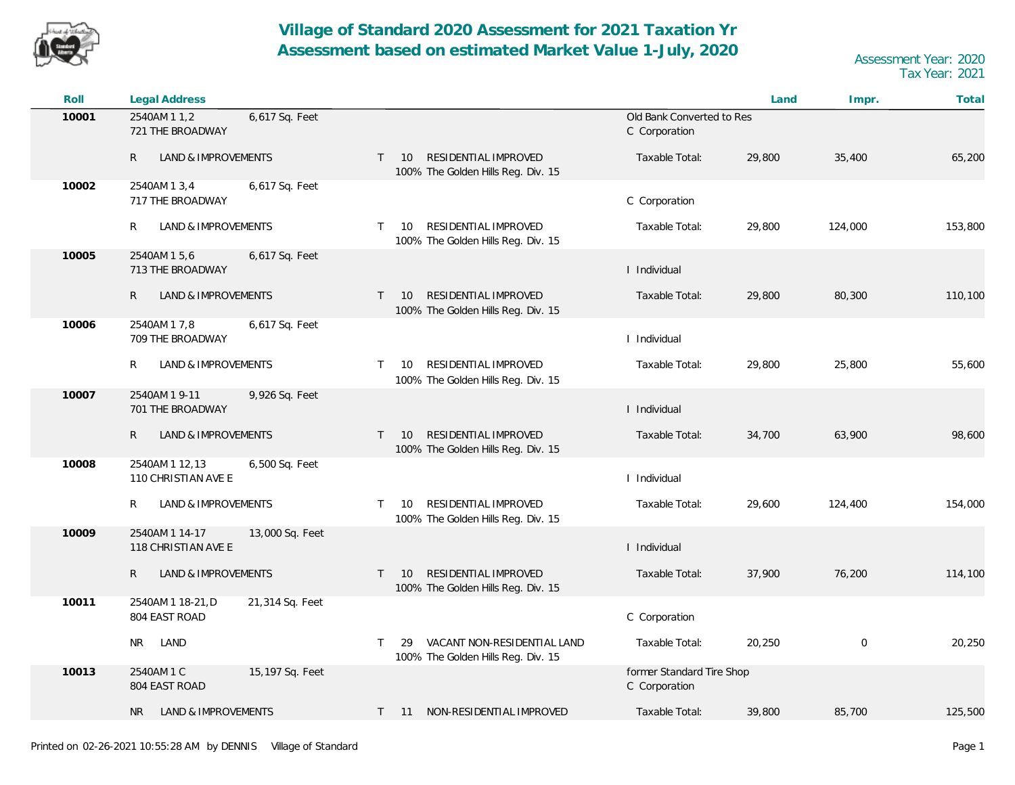

| Roll  | <b>Legal Address</b>                                     |                                                                                  |                                            | Land   | Impr.       | Total   |
|-------|----------------------------------------------------------|----------------------------------------------------------------------------------|--------------------------------------------|--------|-------------|---------|
| 10001 | 6,617 Sq. Feet<br>2540AM 1 1,2<br>721 THE BROADWAY       |                                                                                  | Old Bank Converted to Res<br>C Corporation |        |             |         |
|       | R<br>LAND & IMPROVEMENTS                                 | RESIDENTIAL IMPROVED<br>10<br>$\mathsf{T}$<br>100% The Golden Hills Reg. Div. 15 | Taxable Total:                             | 29,800 | 35,400      | 65,200  |
| 10002 | 2540AM 1 3,4<br>6,617 Sq. Feet<br>717 THE BROADWAY       |                                                                                  | C Corporation                              |        |             |         |
|       | LAND & IMPROVEMENTS<br>R                                 | RESIDENTIAL IMPROVED<br>10<br>T.<br>100% The Golden Hills Reg. Div. 15           | Taxable Total:                             | 29,800 | 124,000     | 153,800 |
| 10005 | 2540AM 15,6<br>6,617 Sq. Feet<br>713 THE BROADWAY        |                                                                                  | I Individual                               |        |             |         |
|       | $\mathsf{R}$<br><b>LAND &amp; IMPROVEMENTS</b>           | RESIDENTIAL IMPROVED<br>10<br>$\mathsf{T}$<br>100% The Golden Hills Reg. Div. 15 | Taxable Total:                             | 29,800 | 80,300      | 110,100 |
| 10006 | 2540AM 1 7,8<br>6,617 Sq. Feet<br>709 THE BROADWAY       |                                                                                  | I Individual                               |        |             |         |
|       | R<br>LAND & IMPROVEMENTS                                 | RESIDENTIAL IMPROVED<br>10<br>T.<br>100% The Golden Hills Reg. Div. 15           | Taxable Total:                             | 29,800 | 25,800      | 55,600  |
| 10007 | 2540AM 1 9-11<br>9,926 Sq. Feet<br>701 THE BROADWAY      |                                                                                  | I Individual                               |        |             |         |
|       | $\mathsf{R}$<br>LAND & IMPROVEMENTS                      | RESIDENTIAL IMPROVED<br>10<br>$\mathsf{T}$<br>100% The Golden Hills Reg. Div. 15 | Taxable Total:                             | 34,700 | 63,900      | 98,600  |
| 10008 | 2540AM 1 12,13<br>6,500 Sq. Feet<br>110 CHRISTIAN AVE E  |                                                                                  | I Individual                               |        |             |         |
|       | LAND & IMPROVEMENTS<br>R                                 | RESIDENTIAL IMPROVED<br>10<br>$\mathsf{T}$<br>100% The Golden Hills Reg. Div. 15 | Taxable Total:                             | 29,600 | 124,400     | 154,000 |
| 10009 | 2540AM 1 14-17<br>13,000 Sq. Feet<br>118 CHRISTIAN AVE E |                                                                                  | I Individual                               |        |             |         |
|       | $\mathsf{R}$<br>LAND & IMPROVEMENTS                      | RESIDENTIAL IMPROVED<br>10<br>T.<br>100% The Golden Hills Reg. Div. 15           | Taxable Total:                             | 37,900 | 76,200      | 114,100 |
| 10011 | 2540AM 1 18-21, D<br>21,314 Sq. Feet<br>804 EAST ROAD    |                                                                                  | C Corporation                              |        |             |         |
|       | LAND<br><b>NR</b>                                        | VACANT NON-RESIDENTIAL LAND<br>T.<br>29<br>100% The Golden Hills Reg. Div. 15    | Taxable Total:                             | 20,250 | $\mathbf 0$ | 20,250  |
| 10013 | 2540AM 1 C<br>15,197 Sq. Feet<br>804 EAST ROAD           |                                                                                  | former Standard Tire Shop<br>C Corporation |        |             |         |
|       | LAND & IMPROVEMENTS<br>NR.                               | T 11 NON-RESIDENTIAL IMPROVED                                                    | Taxable Total:                             | 39,800 | 85,700      | 125,500 |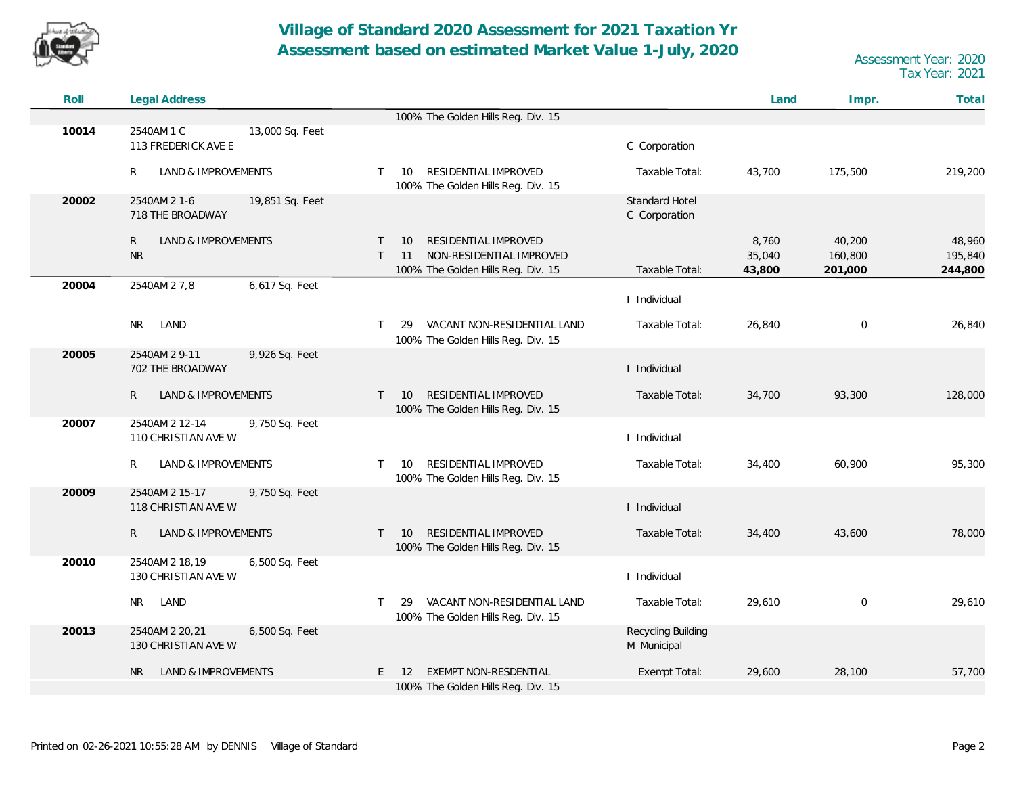

| Roll  | Legal Address                                            |                                                                                                                                          | Land                      | Total<br>Impr.                                               |
|-------|----------------------------------------------------------|------------------------------------------------------------------------------------------------------------------------------------------|---------------------------|--------------------------------------------------------------|
|       |                                                          | 100% The Golden Hills Reg. Div. 15                                                                                                       |                           |                                                              |
| 10014 | 2540AM 1 C<br>13,000 Sq. Feet<br>113 FREDERICK AVE E     | C Corporation                                                                                                                            |                           |                                                              |
|       | R<br>LAND & IMPROVEMENTS                                 | RESIDENTIAL IMPROVED<br>10<br>Taxable Total:<br>$\top$<br>100% The Golden Hills Reg. Div. 15                                             | 43,700                    | 175,500<br>219,200                                           |
| 20002 | 2540AM 2 1-6<br>19,851 Sq. Feet<br>718 THE BROADWAY      | Standard Hotel<br>C Corporation                                                                                                          |                           |                                                              |
|       | LAND & IMPROVEMENTS<br>R<br><b>NR</b>                    | RESIDENTIAL IMPROVED<br>10<br>$\top$<br>NON-RESIDENTIAL IMPROVED<br>$\top$<br>11<br>Taxable Total:<br>100% The Golden Hills Reg. Div. 15 | 8,760<br>35,040<br>43,800 | 40,200<br>48,960<br>160,800<br>195,840<br>201,000<br>244,800 |
| 20004 | 6,617 Sq. Feet<br>2540AM 2 7,8                           | I Individual                                                                                                                             |                           |                                                              |
|       | NR.<br>LAND                                              | VACANT NON-RESIDENTIAL LAND<br>Taxable Total:<br>$\top$<br>29<br>100% The Golden Hills Reg. Div. 15                                      | 26,840                    | $\mathbf 0$<br>26,840                                        |
| 20005 | 2540AM 2 9-11<br>9,926 Sq. Feet<br>702 THE BROADWAY      | I Individual                                                                                                                             |                           |                                                              |
|       | R<br>LAND & IMPROVEMENTS                                 | RESIDENTIAL IMPROVED<br>Taxable Total:<br>10<br>$\top$<br>100% The Golden Hills Reg. Div. 15                                             | 34,700                    | 93,300<br>128,000                                            |
| 20007 | 9,750 Sq. Feet<br>2540AM 2 12-14<br>110 CHRISTIAN AVE W  | I Individual                                                                                                                             |                           |                                                              |
|       | R<br>LAND & IMPROVEMENTS                                 | RESIDENTIAL IMPROVED<br>Taxable Total:<br>$\mathsf{T}$<br>10<br>100% The Golden Hills Reg. Div. 15                                       | 34,400                    | 60,900<br>95,300                                             |
| 20009 | 2540AM 2 15-17<br>9,750 Sq. Feet<br>118 CHRISTIAN AVE W  | I Individual                                                                                                                             |                           |                                                              |
|       | $\mathsf{R}$<br>LAND & IMPROVEMENTS                      | RESIDENTIAL IMPROVED<br>10<br>Taxable Total:<br>$\top$<br>100% The Golden Hills Reg. Div. 15                                             | 34,400                    | 43,600<br>78,000                                             |
| 20010 | 2540AM 2 18,19<br>6,500 Sq. Feet<br>130 CHRISTIAN AVE W  | I Individual                                                                                                                             |                           |                                                              |
|       | LAND<br>NR                                               | VACANT NON-RESIDENTIAL LAND<br>Taxable Total:<br>$\top$<br>29<br>100% The Golden Hills Reg. Div. 15                                      | 29,610                    | $\mathbf 0$<br>29,610                                        |
| 20013 | 2540AM 2 20, 21<br>6,500 Sq. Feet<br>130 CHRISTIAN AVE W | Recycling Building<br>M Municipal                                                                                                        |                           |                                                              |
|       | LAND & IMPROVEMENTS<br>NR                                | EXEMPT NON-RESDENTIAL<br>Exempt Total:<br>E.<br>-12<br>100% The Golden Hills Reg. Div. 15                                                | 29,600                    | 28,100<br>57,700                                             |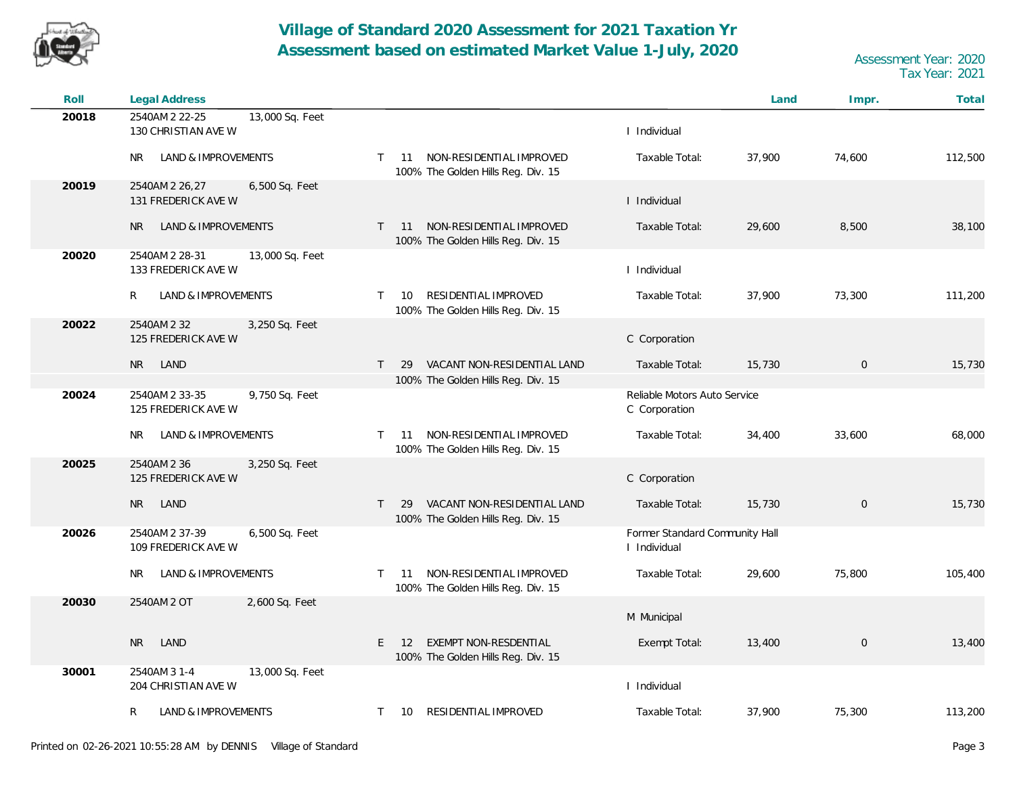

| Roll  | <b>Legal Address</b>                                     |                                                                                |                                                | Land   | Impr.          | Total   |
|-------|----------------------------------------------------------|--------------------------------------------------------------------------------|------------------------------------------------|--------|----------------|---------|
| 20018 | 2540AM 2 22-25<br>13,000 Sq. Feet<br>130 CHRISTIAN AVE W |                                                                                | I Individual                                   |        |                |         |
|       | <b>NR</b><br>LAND & IMPROVEMENTS                         | NON-RESIDENTIAL IMPROVED<br>11<br>T.<br>100% The Golden Hills Reg. Div. 15     | Taxable Total:                                 | 37,900 | 74,600         | 112,500 |
| 20019 | 2540AM 2 26,27<br>6,500 Sq. Feet<br>131 FREDERICK AVE W  |                                                                                | I Individual                                   |        |                |         |
|       | <b>NR</b><br>LAND & IMPROVEMENTS                         | NON-RESIDENTIAL IMPROVED<br>$T = 11$<br>100% The Golden Hills Reg. Div. 15     | Taxable Total:                                 | 29,600 | 8,500          | 38,100  |
| 20020 | 2540AM 2 28-31<br>13,000 Sq. Feet<br>133 FREDERICK AVE W |                                                                                | I Individual                                   |        |                |         |
|       | R<br>LAND & IMPROVEMENTS                                 | RESIDENTIAL IMPROVED<br>T.<br>10<br>100% The Golden Hills Reg. Div. 15         | Taxable Total:                                 | 37,900 | 73,300         | 111,200 |
| 20022 | 2540AM 2 32<br>3,250 Sq. Feet<br>125 FREDERICK AVE W     |                                                                                | C Corporation                                  |        |                |         |
|       | LAND<br><b>NR</b>                                        | VACANT NON-RESIDENTIAL LAND<br>$\mathsf{T}$<br>29                              | Taxable Total:                                 | 15,730 | $\overline{0}$ | 15,730  |
|       |                                                          | 100% The Golden Hills Reg. Div. 15                                             |                                                |        |                |         |
| 20024 | 2540AM 2 33-35<br>9,750 Sq. Feet<br>125 FREDERICK AVE W  |                                                                                | Reliable Motors Auto Service<br>C Corporation  |        |                |         |
|       | NR.<br>LAND & IMPROVEMENTS                               | NON-RESIDENTIAL IMPROVED<br>11<br>T.<br>100% The Golden Hills Reg. Div. 15     | Taxable Total:                                 | 34,400 | 33,600         | 68,000  |
| 20025 | 2540AM 2 36<br>3,250 Sq. Feet<br>125 FREDERICK AVE W     |                                                                                | C Corporation                                  |        |                |         |
|       | <b>NR</b><br>LAND                                        | VACANT NON-RESIDENTIAL LAND<br>29<br>T.<br>100% The Golden Hills Reg. Div. 15  | Taxable Total:                                 | 15,730 | $\mathbf 0$    | 15,730  |
| 20026 | 2540AM 2 37-39<br>6,500 Sq. Feet<br>109 FREDERICK AVE W  |                                                                                | Former Standard Community Hall<br>I Individual |        |                |         |
|       | LAND & IMPROVEMENTS<br>NR.                               | NON-RESIDENTIAL IMPROVED<br>11<br>T.<br>100% The Golden Hills Reg. Div. 15     | Taxable Total:                                 | 29,600 | 75,800         | 105,400 |
| 20030 | 2540AM 2 OT<br>2,600 Sq. Feet                            |                                                                                | M Municipal                                    |        |                |         |
|       | LAND<br><b>NR</b>                                        | <b>EXEMPT NON-RESDENTIAL</b><br>E.<br>12<br>100% The Golden Hills Reg. Div. 15 | Exempt Total:                                  | 13,400 | $\mathbf 0$    | 13,400  |
| 30001 | 2540AM 3 1-4<br>13,000 Sq. Feet<br>204 CHRISTIAN AVE W   |                                                                                | I Individual                                   |        |                |         |
|       | <b>LAND &amp; IMPROVEMENTS</b><br>R                      | RESIDENTIAL IMPROVED<br>T.<br>10                                               | Taxable Total:                                 | 37,900 | 75,300         | 113,200 |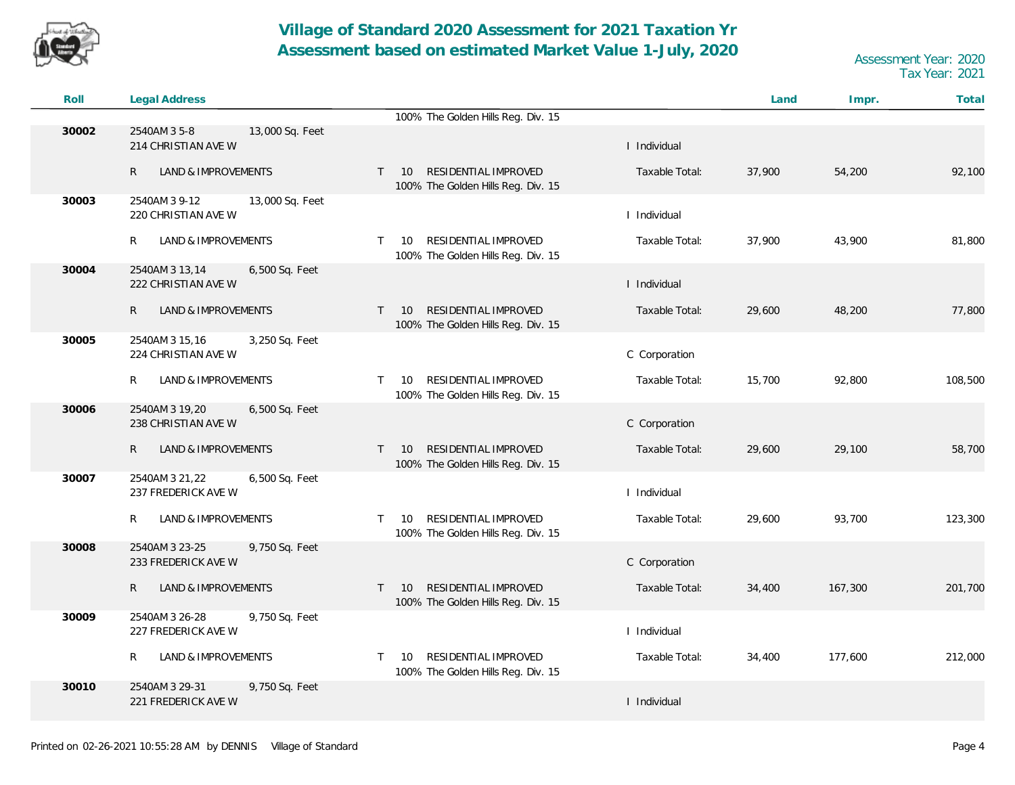

| Roll  | Legal Address                                           |                                                                                  |                | Land   | Impr.   | Total   |
|-------|---------------------------------------------------------|----------------------------------------------------------------------------------|----------------|--------|---------|---------|
|       |                                                         | 100% The Golden Hills Reg. Div. 15                                               |                |        |         |         |
| 30002 | 2540AM 3 5-8<br>13,000 Sq. Feet<br>214 CHRISTIAN AVE W  |                                                                                  | I Individual   |        |         |         |
|       | LAND & IMPROVEMENTS<br>R                                | RESIDENTIAL IMPROVED<br>10<br>$\mathsf{T}$<br>100% The Golden Hills Reg. Div. 15 | Taxable Total: | 37,900 | 54,200  | 92,100  |
| 30003 | 2540AM 3 9-12<br>13,000 Sq. Feet<br>220 CHRISTIAN AVE W |                                                                                  | I Individual   |        |         |         |
|       | R<br>LAND & IMPROVEMENTS                                | RESIDENTIAL IMPROVED<br>10<br>T.<br>100% The Golden Hills Reg. Div. 15           | Taxable Total: | 37,900 | 43,900  | 81,800  |
| 30004 | 2540AM 3 13,14<br>6,500 Sq. Feet<br>222 CHRISTIAN AVE W |                                                                                  | I Individual   |        |         |         |
|       | R<br>LAND & IMPROVEMENTS                                | RESIDENTIAL IMPROVED<br>10<br>$\mathsf{T}$<br>100% The Golden Hills Reg. Div. 15 | Taxable Total: | 29,600 | 48,200  | 77,800  |
| 30005 | 3,250 Sq. Feet<br>2540AM 3 15,16<br>224 CHRISTIAN AVE W |                                                                                  | C Corporation  |        |         |         |
|       | R<br>LAND & IMPROVEMENTS                                | RESIDENTIAL IMPROVED<br>10<br>T.<br>100% The Golden Hills Reg. Div. 15           | Taxable Total: | 15,700 | 92,800  | 108,500 |
| 30006 | 2540AM 3 19,20<br>6,500 Sq. Feet<br>238 CHRISTIAN AVE W |                                                                                  | C Corporation  |        |         |         |
|       | R<br>LAND & IMPROVEMENTS                                | RESIDENTIAL IMPROVED<br>10<br>$\mathsf{T}$<br>100% The Golden Hills Reg. Div. 15 | Taxable Total: | 29,600 | 29,100  | 58,700  |
| 30007 | 2540AM 3 21,22<br>6,500 Sq. Feet<br>237 FREDERICK AVE W |                                                                                  | I Individual   |        |         |         |
|       | R<br>LAND & IMPROVEMENTS                                | RESIDENTIAL IMPROVED<br>10<br>T.<br>100% The Golden Hills Reg. Div. 15           | Taxable Total: | 29,600 | 93,700  | 123,300 |
| 30008 | 2540AM 3 23-25<br>9,750 Sq. Feet<br>233 FREDERICK AVE W |                                                                                  | C Corporation  |        |         |         |
|       | LAND & IMPROVEMENTS<br>R                                | RESIDENTIAL IMPROVED<br>$T = 10$<br>100% The Golden Hills Reg. Div. 15           | Taxable Total: | 34,400 | 167,300 | 201,700 |
| 30009 | 2540AM 3 26-28<br>9,750 Sq. Feet<br>227 FREDERICK AVE W |                                                                                  | I Individual   |        |         |         |
|       | R<br>LAND & IMPROVEMENTS                                | RESIDENTIAL IMPROVED<br>10<br>T.<br>100% The Golden Hills Reg. Div. 15           | Taxable Total: | 34,400 | 177,600 | 212,000 |
| 30010 | 2540AM 3 29-31<br>9,750 Sq. Feet<br>221 FREDERICK AVE W |                                                                                  | I Individual   |        |         |         |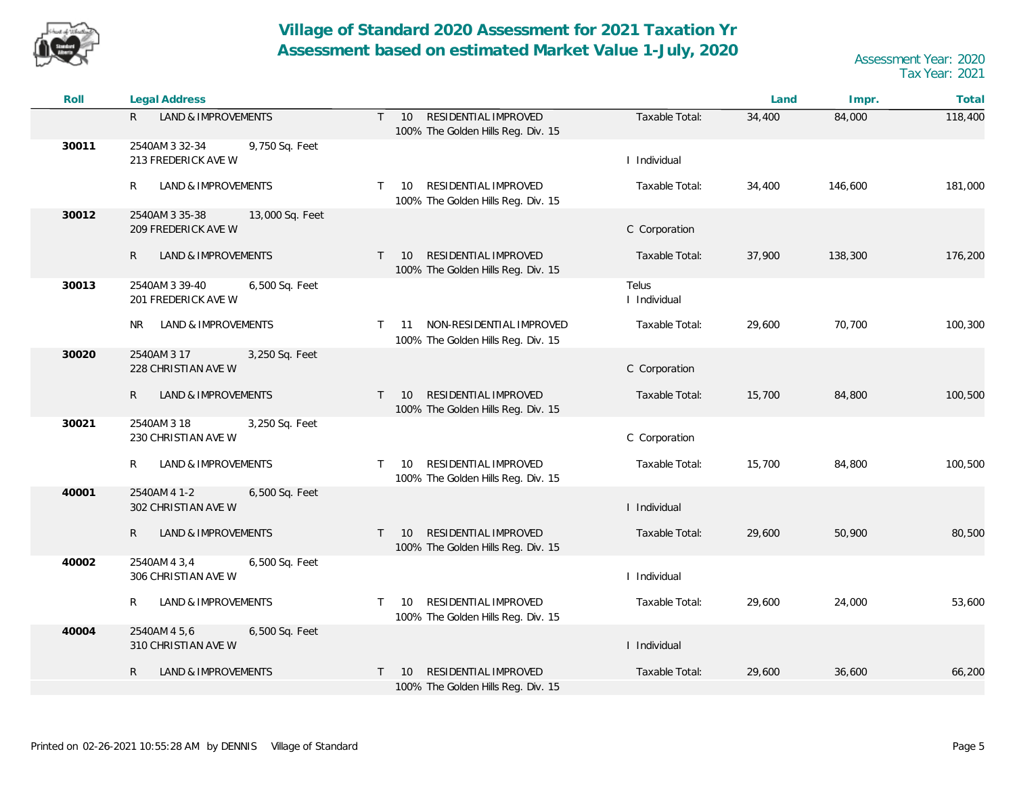

| Roll  | Legal Address                                            |                                                                                     |                       | Land   | Impr.   | Total   |
|-------|----------------------------------------------------------|-------------------------------------------------------------------------------------|-----------------------|--------|---------|---------|
|       | LAND & IMPROVEMENTS<br>R                                 | RESIDENTIAL IMPROVED<br>$\mathsf{T}$<br>10<br>100% The Golden Hills Reg. Div. 15    | Taxable Total:        | 34,400 | 84,000  | 118,400 |
| 30011 | 2540AM 3 32-34<br>9,750 Sq. Feet<br>213 FREDERICK AVE W  |                                                                                     | I Individual          |        |         |         |
|       | LAND & IMPROVEMENTS<br>R                                 | RESIDENTIAL IMPROVED<br>10 <sup>°</sup><br>T.<br>100% The Golden Hills Reg. Div. 15 | Taxable Total:        | 34,400 | 146,600 | 181,000 |
| 30012 | 2540AM 3 35-38<br>13,000 Sq. Feet<br>209 FREDERICK AVE W |                                                                                     | C Corporation         |        |         |         |
|       | LAND & IMPROVEMENTS<br>R                                 | RESIDENTIAL IMPROVED<br>10<br>$\mathsf{T}$<br>100% The Golden Hills Reg. Div. 15    | Taxable Total:        | 37,900 | 138,300 | 176,200 |
| 30013 | 2540AM 3 39-40<br>6,500 Sq. Feet<br>201 FREDERICK AVE W  |                                                                                     | Telus<br>I Individual |        |         |         |
|       | LAND & IMPROVEMENTS<br><b>NR</b>                         | NON-RESIDENTIAL IMPROVED<br>11<br>T.<br>100% The Golden Hills Reg. Div. 15          | Taxable Total:        | 29,600 | 70,700  | 100,300 |
| 30020 | 2540AM 3 17<br>3,250 Sq. Feet<br>228 CHRISTIAN AVE W     |                                                                                     | C Corporation         |        |         |         |
|       | $\mathsf{R}$<br>LAND & IMPROVEMENTS                      | RESIDENTIAL IMPROVED<br>10<br>$\top$<br>100% The Golden Hills Reg. Div. 15          | Taxable Total:        | 15,700 | 84,800  | 100,500 |
| 30021 | 2540AM 3 18<br>3,250 Sq. Feet<br>230 CHRISTIAN AVE W     |                                                                                     | C Corporation         |        |         |         |
|       | LAND & IMPROVEMENTS<br>R                                 | RESIDENTIAL IMPROVED<br>$\top$<br>10<br>100% The Golden Hills Reg. Div. 15          | Taxable Total:        | 15,700 | 84,800  | 100,500 |
| 40001 | 2540AM 4 1-2<br>6,500 Sq. Feet<br>302 CHRISTIAN AVE W    |                                                                                     | I Individual          |        |         |         |
|       | LAND & IMPROVEMENTS<br>R                                 | RESIDENTIAL IMPROVED<br>10<br>T.<br>100% The Golden Hills Reg. Div. 15              | Taxable Total:        | 29,600 | 50,900  | 80,500  |
| 40002 | 2540AM 4 3,4<br>6,500 Sq. Feet<br>306 CHRISTIAN AVE W    |                                                                                     | I Individual          |        |         |         |
|       | LAND & IMPROVEMENTS<br>R                                 | RESIDENTIAL IMPROVED<br>10<br>100% The Golden Hills Reg. Div. 15                    | Taxable Total:        | 29,600 | 24,000  | 53,600  |
| 40004 | 2540AM 4 5,6<br>6,500 Sq. Feet<br>310 CHRISTIAN AVE W    |                                                                                     | I Individual          |        |         |         |
|       | $\mathsf{R}$<br>LAND & IMPROVEMENTS                      | RESIDENTIAL IMPROVED<br>10<br>T.<br>100% The Golden Hills Reg. Div. 15              | Taxable Total:        | 29,600 | 36,600  | 66,200  |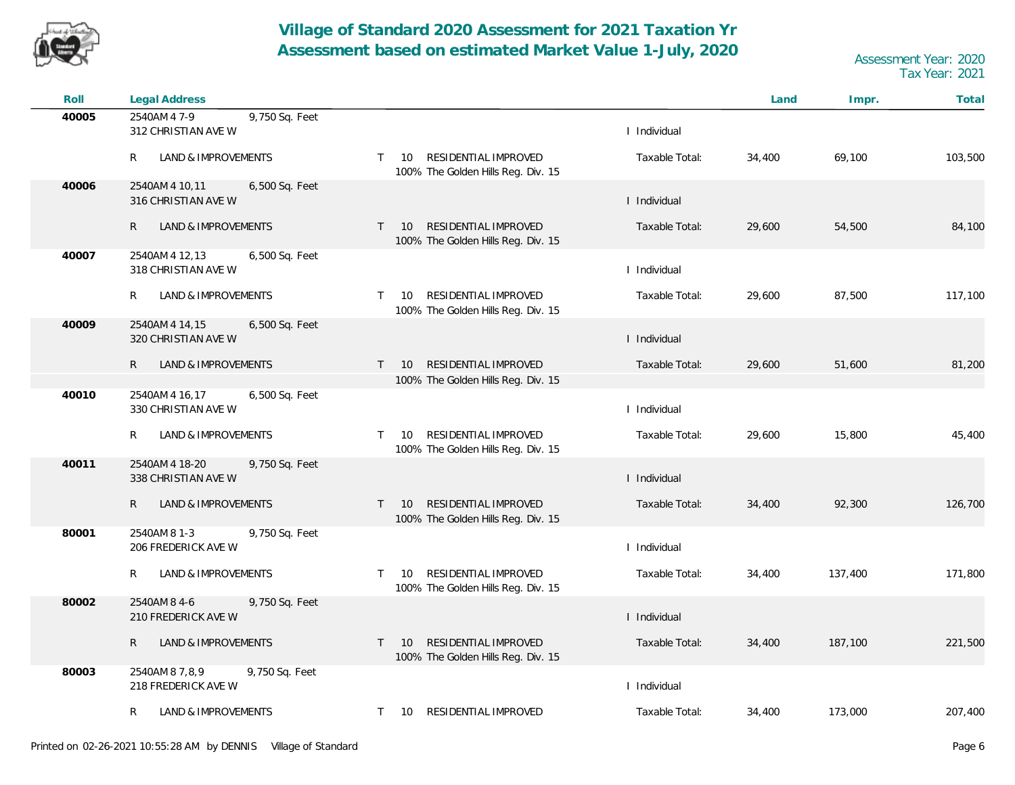

| Roll  | <b>Legal Address</b>                                    |                                                                                  |                | Land   | Impr.   | Total   |
|-------|---------------------------------------------------------|----------------------------------------------------------------------------------|----------------|--------|---------|---------|
| 40005 | 2540AM 4 7-9<br>9,750 Sq. Feet<br>312 CHRISTIAN AVE W   |                                                                                  | I Individual   |        |         |         |
|       | R<br>LAND & IMPROVEMENTS                                | RESIDENTIAL IMPROVED<br>$\mathsf{T}$<br>10<br>100% The Golden Hills Reg. Div. 15 | Taxable Total: | 34,400 | 69,100  | 103,500 |
| 40006 | 2540AM 4 10,11<br>6,500 Sq. Feet<br>316 CHRISTIAN AVE W |                                                                                  | I Individual   |        |         |         |
|       | LAND & IMPROVEMENTS<br>R                                | RESIDENTIAL IMPROVED<br>$T = 10$<br>100% The Golden Hills Reg. Div. 15           | Taxable Total: | 29,600 | 54,500  | 84,100  |
| 40007 | 2540AM 4 12,13<br>6,500 Sq. Feet<br>318 CHRISTIAN AVE W |                                                                                  | I Individual   |        |         |         |
|       | <b>LAND &amp; IMPROVEMENTS</b><br>R                     | RESIDENTIAL IMPROVED<br>10<br>$\top$<br>100% The Golden Hills Reg. Div. 15       | Taxable Total: | 29,600 | 87,500  | 117,100 |
| 40009 | 6,500 Sq. Feet<br>2540AM 4 14,15<br>320 CHRISTIAN AVE W |                                                                                  | I Individual   |        |         |         |
|       | $\mathsf{R}$<br>LAND & IMPROVEMENTS                     | RESIDENTIAL IMPROVED<br>10<br>$\mathsf{T}$<br>100% The Golden Hills Reg. Div. 15 | Taxable Total: | 29,600 | 51,600  | 81,200  |
| 40010 | 2540AM 4 16,17<br>6,500 Sq. Feet<br>330 CHRISTIAN AVE W |                                                                                  | I Individual   |        |         |         |
|       | R<br>LAND & IMPROVEMENTS                                | RESIDENTIAL IMPROVED<br>10<br>$\top$<br>100% The Golden Hills Reg. Div. 15       | Taxable Total: | 29,600 | 15,800  | 45,400  |
| 40011 | 2540AM 4 18-20<br>9,750 Sq. Feet<br>338 CHRISTIAN AVE W |                                                                                  | I Individual   |        |         |         |
|       | LAND & IMPROVEMENTS<br>R                                | RESIDENTIAL IMPROVED<br>$T = 10$<br>100% The Golden Hills Reg. Div. 15           | Taxable Total: | 34,400 | 92,300  | 126,700 |
| 80001 | 2540AM 8 1-3<br>9,750 Sq. Feet<br>206 FREDERICK AVE W   |                                                                                  | I Individual   |        |         |         |
|       | LAND & IMPROVEMENTS<br>R                                | RESIDENTIAL IMPROVED<br>$\top$<br>10<br>100% The Golden Hills Reg. Div. 15       | Taxable Total: | 34,400 | 137,400 | 171,800 |
| 80002 | 2540AM 84-6<br>9,750 Sq. Feet<br>210 FREDERICK AVE W    |                                                                                  | I Individual   |        |         |         |
|       | $\mathsf{R}$<br>LAND & IMPROVEMENTS                     | RESIDENTIAL IMPROVED<br>$\top$<br>10<br>100% The Golden Hills Reg. Div. 15       | Taxable Total: | 34,400 | 187,100 | 221,500 |
| 80003 | 2540AM 8 7,8,9<br>9,750 Sq. Feet<br>218 FREDERICK AVE W |                                                                                  | I Individual   |        |         |         |
|       | LAND & IMPROVEMENTS<br>R                                | RESIDENTIAL IMPROVED<br>$T = 10$                                                 | Taxable Total: | 34,400 | 173,000 | 207,400 |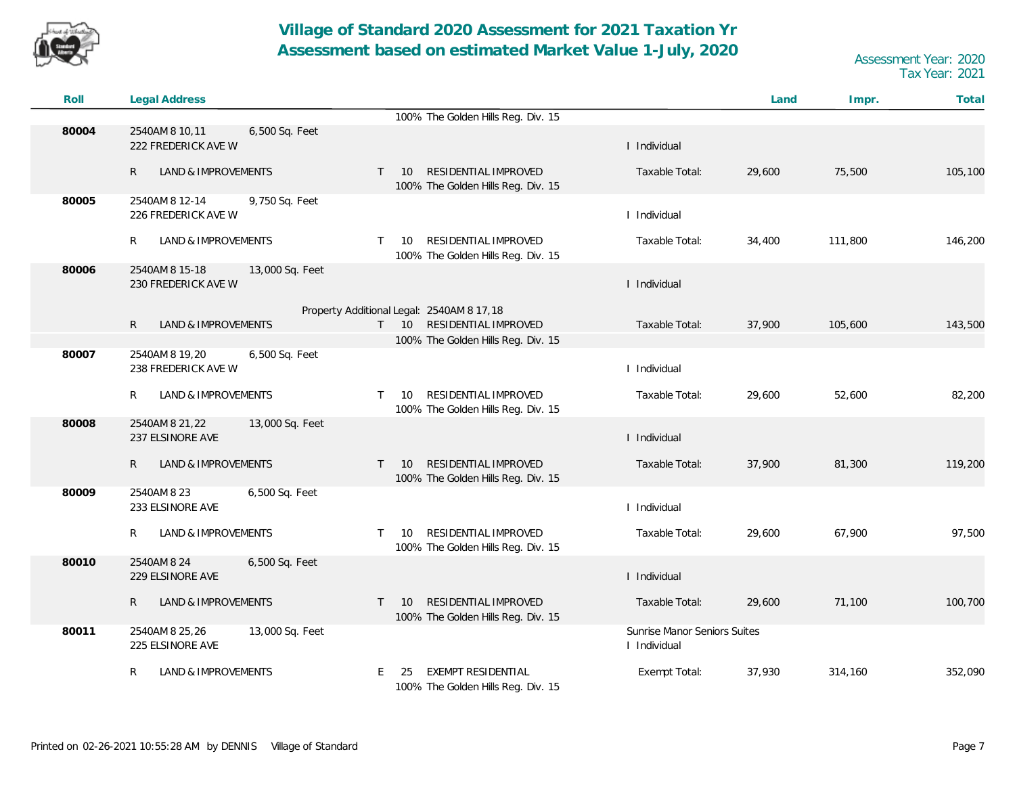

| Roll  | <b>Legal Address</b>                                     |                                                                                     |                                              | Land   | Impr.   | Total   |
|-------|----------------------------------------------------------|-------------------------------------------------------------------------------------|----------------------------------------------|--------|---------|---------|
|       |                                                          | 100% The Golden Hills Reg. Div. 15                                                  |                                              |        |         |         |
| 80004 | 2540AM 8 10,11<br>6,500 Sq. Feet<br>222 FREDERICK AVE W  |                                                                                     | I Individual                                 |        |         |         |
|       | R<br>LAND & IMPROVEMENTS                                 | RESIDENTIAL IMPROVED<br>$T = 10$<br>100% The Golden Hills Reg. Div. 15              | Taxable Total:                               | 29,600 | 75,500  | 105,100 |
| 80005 | 2540AM 8 12-14<br>9,750 Sq. Feet<br>226 FREDERICK AVE W  |                                                                                     | I Individual                                 |        |         |         |
|       | R<br>LAND & IMPROVEMENTS                                 | RESIDENTIAL IMPROVED<br>10<br>$\mathsf{T}$<br>100% The Golden Hills Reg. Div. 15    | Taxable Total:                               | 34,400 | 111,800 | 146,200 |
| 80006 | 2540AM 8 15-18<br>13,000 Sq. Feet<br>230 FREDERICK AVE W |                                                                                     | I Individual                                 |        |         |         |
|       |                                                          | Property Additional Legal: 2540AM 8 17,18                                           |                                              |        |         |         |
|       | $\mathsf{R}$<br>LAND & IMPROVEMENTS                      | RESIDENTIAL IMPROVED<br>$T = 10$                                                    | Taxable Total:                               | 37,900 | 105,600 | 143,500 |
|       |                                                          | 100% The Golden Hills Reg. Div. 15                                                  |                                              |        |         |         |
| 80007 | 2540AM 8 19,20<br>6,500 Sq. Feet<br>238 FREDERICK AVE W  |                                                                                     | I Individual                                 |        |         |         |
|       | R<br>LAND & IMPROVEMENTS                                 | RESIDENTIAL IMPROVED<br>10<br>T.<br>100% The Golden Hills Reg. Div. 15              | Taxable Total:                               | 29,600 | 52,600  | 82,200  |
| 80008 | 13,000 Sq. Feet<br>2540AM 8 21,22<br>237 ELSINORE AVE    |                                                                                     | I Individual                                 |        |         |         |
|       | $\mathsf{R}$<br>LAND & IMPROVEMENTS                      | RESIDENTIAL IMPROVED<br>10<br>$\mathsf{T}$<br>100% The Golden Hills Reg. Div. 15    | Taxable Total:                               | 37,900 | 81,300  | 119,200 |
| 80009 | 2540AM 8 23<br>6,500 Sq. Feet<br>233 ELSINORE AVE        |                                                                                     | I Individual                                 |        |         |         |
|       | R<br>LAND & IMPROVEMENTS                                 | RESIDENTIAL IMPROVED<br>10<br>$\top$<br>100% The Golden Hills Reg. Div. 15          | Taxable Total:                               | 29,600 | 67,900  | 97,500  |
| 80010 | 2540AM 8 24<br>6,500 Sq. Feet<br>229 ELSINORE AVE        |                                                                                     | I Individual                                 |        |         |         |
|       | $\mathsf{R}$<br><b>LAND &amp; IMPROVEMENTS</b>           | RESIDENTIAL IMPROVED<br>10 <sup>°</sup><br>T.<br>100% The Golden Hills Reg. Div. 15 | Taxable Total:                               | 29,600 | 71,100  | 100,700 |
| 80011 | 2540AM 8 25,26<br>13,000 Sq. Feet<br>225 ELSINORE AVE    |                                                                                     | Sunrise Manor Seniors Suites<br>I Individual |        |         |         |
|       | LAND & IMPROVEMENTS<br>R                                 | EXEMPT RESIDENTIAL<br>E.<br>-25<br>100% The Golden Hills Reg. Div. 15               | Exempt Total:                                | 37,930 | 314,160 | 352,090 |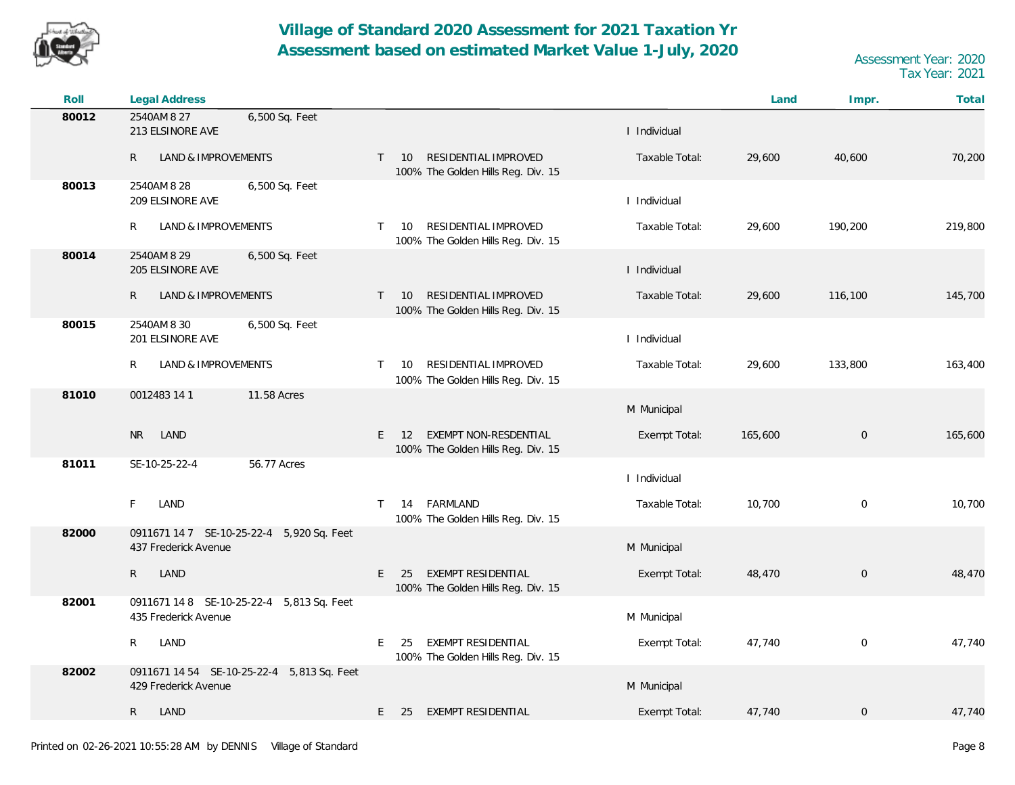

| Roll  | <b>Legal Address</b>                                               |                                                                                         |                | Land    | Impr.               | Total   |
|-------|--------------------------------------------------------------------|-----------------------------------------------------------------------------------------|----------------|---------|---------------------|---------|
| 80012 | 2540AM 8 27<br>6,500 Sq. Feet<br>213 ELSINORE AVE                  |                                                                                         | I Individual   |         |                     |         |
|       | $\mathsf{R}$<br>LAND & IMPROVEMENTS                                | RESIDENTIAL IMPROVED<br>$T = 10$<br>100% The Golden Hills Reg. Div. 15                  | Taxable Total: | 29,600  | 40,600              | 70,200  |
| 80013 | 2540AM 8 28<br>6,500 Sq. Feet<br>209 ELSINORE AVE                  |                                                                                         | I Individual   |         |                     |         |
|       | R<br>LAND & IMPROVEMENTS                                           | <b>RESIDENTIAL IMPROVED</b><br>10<br>$\mathsf{T}$<br>100% The Golden Hills Reg. Div. 15 | Taxable Total: | 29,600  | 190,200             | 219,800 |
| 80014 | 2540AM 8 29<br>6,500 Sq. Feet<br>205 ELSINORE AVE                  |                                                                                         | I Individual   |         |                     |         |
|       | $\mathsf{R}$<br>LAND & IMPROVEMENTS                                | RESIDENTIAL IMPROVED<br>10<br>$\mathsf{T}$<br>100% The Golden Hills Reg. Div. 15        | Taxable Total: | 29,600  | 116,100             | 145,700 |
| 80015 | 2540AM 8 30<br>6,500 Sq. Feet<br>201 ELSINORE AVE                  |                                                                                         | I Individual   |         |                     |         |
|       | LAND & IMPROVEMENTS<br>R                                           | RESIDENTIAL IMPROVED<br>10<br>$\mathsf{T}$<br>100% The Golden Hills Reg. Div. 15        | Taxable Total: | 29,600  | 133,800             | 163,400 |
| 81010 | 11.58 Acres<br>0012483 14 1                                        |                                                                                         | M Municipal    |         |                     |         |
|       | <b>NR</b><br>LAND                                                  | EXEMPT NON-RESDENTIAL<br>E.<br>12<br>100% The Golden Hills Reg. Div. 15                 | Exempt Total:  | 165,600 | $\mathbf 0$         | 165,600 |
| 81011 | 56.77 Acres<br>SE-10-25-22-4                                       |                                                                                         | I Individual   |         |                     |         |
|       | LAND<br>F                                                          | 14 FARMLAND<br>T.<br>100% The Golden Hills Reg. Div. 15                                 | Taxable Total: | 10,700  | $\mathbf 0$         | 10,700  |
| 82000 | 0911671 14 7 SE-10-25-22-4 5,920 Sq. Feet<br>437 Frederick Avenue  |                                                                                         | M Municipal    |         |                     |         |
|       | $\mathsf{R}$<br>LAND                                               | <b>EXEMPT RESIDENTIAL</b><br>E<br>25<br>100% The Golden Hills Reg. Div. 15              | Exempt Total:  | 48,470  | $\mathsf{O}\xspace$ | 48,470  |
| 82001 | 0911671 14 8 SE-10-25-22-4 5,813 Sq. Feet<br>435 Frederick Avenue  |                                                                                         | M Municipal    |         |                     |         |
|       | R<br>LAND                                                          | EXEMPT RESIDENTIAL<br>E.<br>25<br>100% The Golden Hills Reg. Div. 15                    | Exempt Total:  | 47,740  | $\mathbf 0$         | 47,740  |
| 82002 | 0911671 14 54 SE-10-25-22-4 5,813 Sq. Feet<br>429 Frederick Avenue |                                                                                         | M Municipal    |         |                     |         |
|       | $\mathsf{R}$<br>LAND                                               | E<br>EXEMPT RESIDENTIAL<br>25                                                           | Exempt Total:  | 47,740  | $\mathbf 0$         | 47,740  |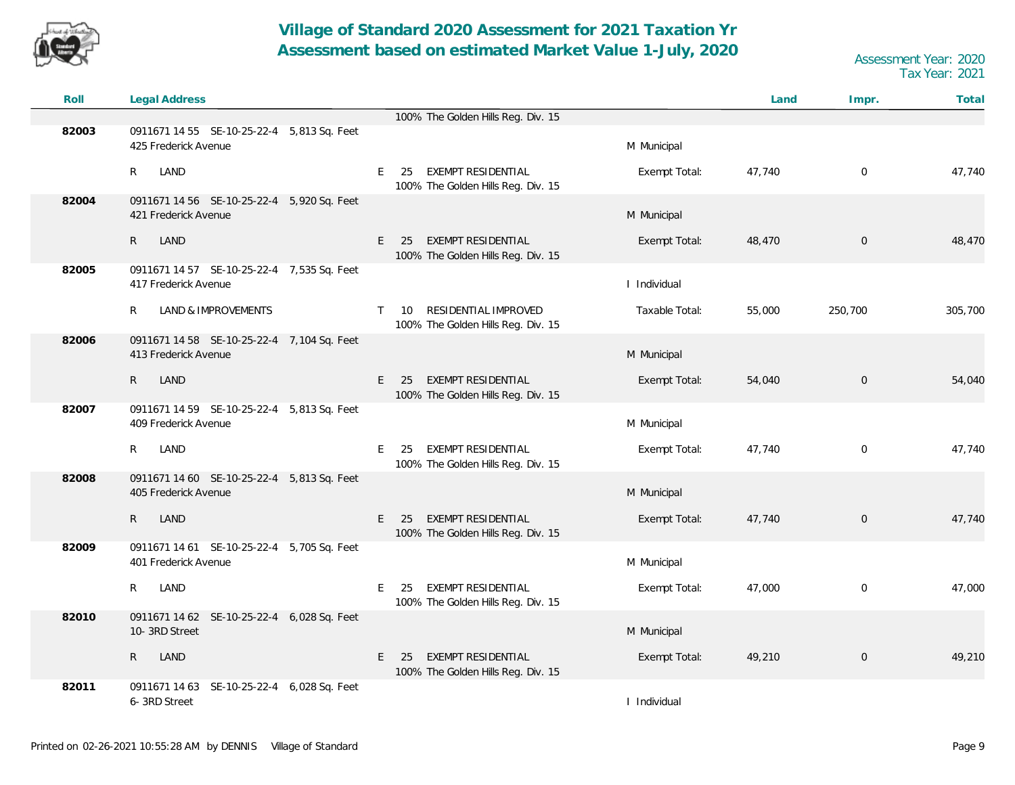

| Roll  | <b>Legal Address</b>                                               |                                                                                  |                | Land   | Impr.               | Total   |
|-------|--------------------------------------------------------------------|----------------------------------------------------------------------------------|----------------|--------|---------------------|---------|
|       |                                                                    | 100% The Golden Hills Reg. Div. 15                                               |                |        |                     |         |
| 82003 | 0911671 14 55 SE-10-25-22-4 5,813 Sq. Feet<br>425 Frederick Avenue |                                                                                  | M Municipal    |        |                     |         |
|       | R<br>LAND                                                          | EXEMPT RESIDENTIAL<br>E<br>25<br>100% The Golden Hills Reg. Div. 15              | Exempt Total:  | 47,740 | $\mathbf 0$         | 47,740  |
| 82004 | 0911671 14 56 SE-10-25-22-4 5,920 Sq. Feet<br>421 Frederick Avenue |                                                                                  | M Municipal    |        |                     |         |
|       | $\mathsf{R}$<br>LAND                                               | EXEMPT RESIDENTIAL<br>E.<br>25<br>100% The Golden Hills Reg. Div. 15             | Exempt Total:  | 48,470 | $\mathbf 0$         | 48,470  |
| 82005 | 0911671 14 57 SE-10-25-22-4 7,535 Sq. Feet<br>417 Frederick Avenue |                                                                                  | I Individual   |        |                     |         |
|       | R<br><b>LAND &amp; IMPROVEMENTS</b>                                | RESIDENTIAL IMPROVED<br>$\mathsf{T}$<br>10<br>100% The Golden Hills Reg. Div. 15 | Taxable Total: | 55,000 | 250,700             | 305,700 |
| 82006 | 0911671 14 58 SE-10-25-22-4 7,104 Sq. Feet<br>413 Frederick Avenue |                                                                                  | M Municipal    |        |                     |         |
|       | $\mathsf{R}$<br>LAND                                               | <b>EXEMPT RESIDENTIAL</b><br>E<br>25<br>100% The Golden Hills Reg. Div. 15       | Exempt Total:  | 54,040 | $\overline{0}$      | 54,040  |
| 82007 | 0911671 14 59 SE-10-25-22-4 5,813 Sq. Feet<br>409 Frederick Avenue |                                                                                  | M Municipal    |        |                     |         |
|       | R<br>LAND                                                          | EXEMPT RESIDENTIAL<br>E<br>25<br>100% The Golden Hills Reg. Div. 15              | Exempt Total:  | 47,740 | $\mathbf 0$         | 47,740  |
| 82008 | 0911671 14 60 SE-10-25-22-4 5,813 Sq. Feet<br>405 Frederick Avenue |                                                                                  | M Municipal    |        |                     |         |
|       | $\mathsf{R}$<br>LAND                                               | E<br><b>EXEMPT RESIDENTIAL</b><br>25<br>100% The Golden Hills Reg. Div. 15       | Exempt Total:  | 47,740 | $\mathsf{O}\xspace$ | 47,740  |
| 82009 | 0911671 14 61 SE-10-25-22-4 5,705 Sq. Feet<br>401 Frederick Avenue |                                                                                  | M Municipal    |        |                     |         |
|       | R<br>LAND                                                          | EXEMPT RESIDENTIAL<br>E<br>25<br>100% The Golden Hills Reg. Div. 15              | Exempt Total:  | 47,000 | $\mathbf 0$         | 47,000  |
| 82010 | 0911671 14 62 SE-10-25-22-4 6,028 Sq. Feet<br>10-3RD Street        |                                                                                  | M Municipal    |        |                     |         |
|       | $\mathsf{R}$<br>LAND                                               | EXEMPT RESIDENTIAL<br>E<br>25<br>100% The Golden Hills Reg. Div. 15              | Exempt Total:  | 49,210 | $\mathbf 0$         | 49,210  |
| 82011 | SE-10-25-22-4 6,028 Sq. Feet<br>0911671 14 63<br>6-3RD Street      |                                                                                  | I Individual   |        |                     |         |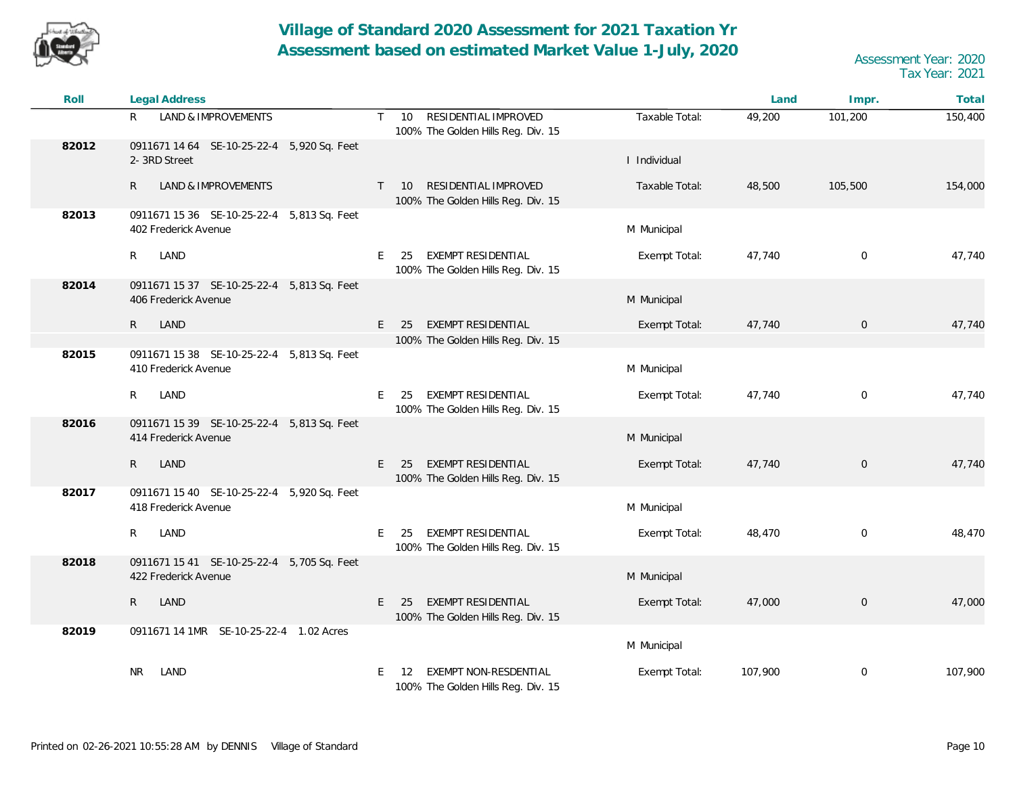

| Roll  | <b>Legal Address</b>                                               |                                                                                               |                | Land    | Impr.          | Total   |
|-------|--------------------------------------------------------------------|-----------------------------------------------------------------------------------------------|----------------|---------|----------------|---------|
|       | LAND & IMPROVEMENTS<br>R                                           | RESIDENTIAL IMPROVED<br>$\mathsf{T}$<br>10 <sup>°</sup><br>100% The Golden Hills Reg. Div. 15 | Taxable Total: | 49,200  | 101,200        | 150,400 |
| 82012 | 0911671 14 64 SE-10-25-22-4 5,920 Sq. Feet<br>2-3RD Street         |                                                                                               | I Individual   |         |                |         |
|       | <b>LAND &amp; IMPROVEMENTS</b><br>R                                | RESIDENTIAL IMPROVED<br>10<br>T.<br>100% The Golden Hills Reg. Div. 15                        | Taxable Total: | 48,500  | 105,500        | 154,000 |
| 82013 | 0911671 15 36 SE-10-25-22-4 5,813 Sq. Feet<br>402 Frederick Avenue |                                                                                               | M Municipal    |         |                |         |
|       | $R_{\parallel}$<br>LAND                                            | EXEMPT RESIDENTIAL<br>E<br>25<br>100% The Golden Hills Reg. Div. 15                           | Exempt Total:  | 47,740  | $\mathbf 0$    | 47,740  |
| 82014 | 0911671 15 37 SE-10-25-22-4 5,813 Sq. Feet<br>406 Frederick Avenue |                                                                                               | M Municipal    |         |                |         |
|       | R<br>LAND                                                          | EXEMPT RESIDENTIAL<br>E<br>25                                                                 | Exempt Total:  | 47,740  | $\overline{0}$ | 47,740  |
|       |                                                                    | 100% The Golden Hills Reg. Div. 15                                                            |                |         |                |         |
| 82015 | 0911671 15 38 SE-10-25-22-4 5,813 Sq. Feet<br>410 Frederick Avenue |                                                                                               | M Municipal    |         |                |         |
|       | $\mathsf{R}$<br>LAND                                               | EXEMPT RESIDENTIAL<br>E<br>25<br>100% The Golden Hills Reg. Div. 15                           | Exempt Total:  | 47,740  | $\mathbf 0$    | 47,740  |
| 82016 | 0911671 15 39 SE-10-25-22-4 5,813 Sq. Feet<br>414 Frederick Avenue |                                                                                               | M Municipal    |         |                |         |
|       | $\mathsf{R}$<br>LAND                                               | EXEMPT RESIDENTIAL<br>E<br>25<br>100% The Golden Hills Reg. Div. 15                           | Exempt Total:  | 47,740  | $\overline{0}$ | 47,740  |
| 82017 | 0911671 15 40 SE-10-25-22-4 5,920 Sq. Feet<br>418 Frederick Avenue |                                                                                               | M Municipal    |         |                |         |
|       | LAND<br>R                                                          | EXEMPT RESIDENTIAL<br>E<br>25<br>100% The Golden Hills Reg. Div. 15                           | Exempt Total:  | 48,470  | $\mathbf 0$    | 48,470  |
| 82018 | 0911671 15 41 SE-10-25-22-4 5,705 Sq. Feet<br>422 Frederick Avenue |                                                                                               | M Municipal    |         |                |         |
|       | LAND<br>$\mathsf{R}$                                               | EXEMPT RESIDENTIAL<br>E.<br>25<br>100% The Golden Hills Reg. Div. 15                          | Exempt Total:  | 47,000  | $\mathbf 0$    | 47,000  |
| 82019 | 0911671 14 1MR SE-10-25-22-4 1.02 Acres                            |                                                                                               | M Municipal    |         |                |         |
|       | NR.<br>LAND                                                        | EXEMPT NON-RESDENTIAL<br>E.<br>-12<br>100% The Golden Hills Reg. Div. 15                      | Exempt Total:  | 107,900 | 0              | 107,900 |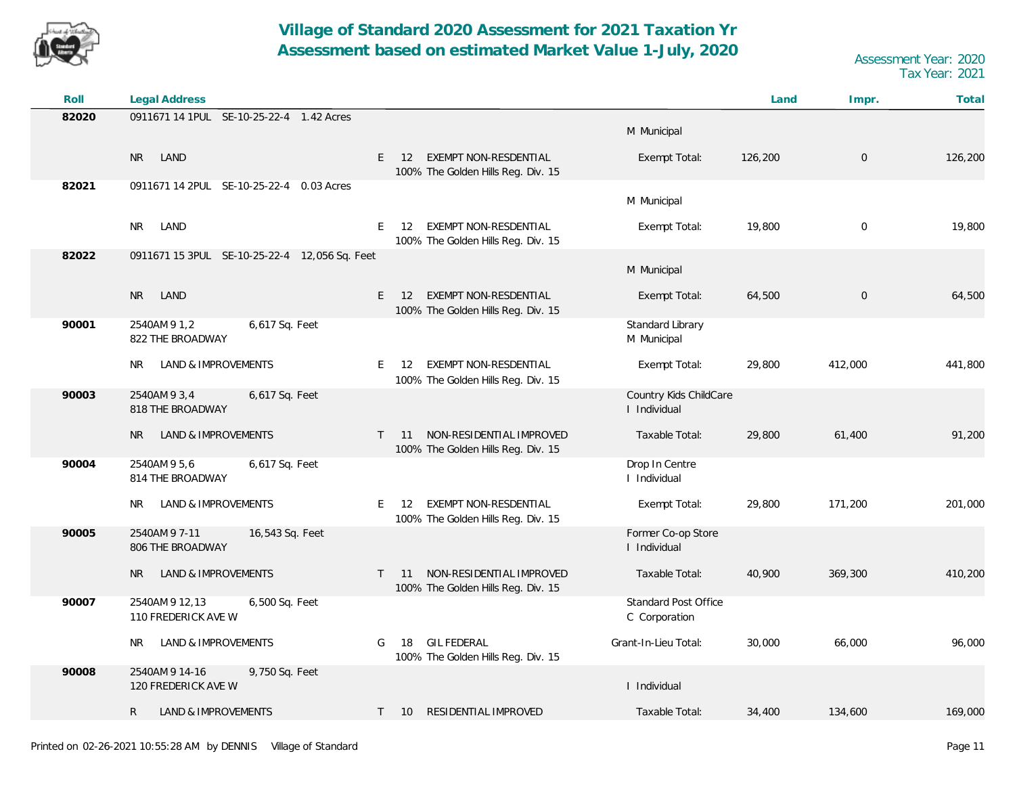

| Roll  | Legal Address                                           |                                                                                       |                                        | Land    | Impr.       | Total   |
|-------|---------------------------------------------------------|---------------------------------------------------------------------------------------|----------------------------------------|---------|-------------|---------|
| 82020 | 0911671 14 1PUL SE-10-25-22-4 1.42 Acres                |                                                                                       | M Municipal                            |         |             |         |
|       | LAND<br><b>NR</b>                                       | EXEMPT NON-RESDENTIAL<br>$E = 12$<br>100% The Golden Hills Reg. Div. 15               | Exempt Total:                          | 126,200 | 0           | 126,200 |
| 82021 | 0911671 14 2PUL SE-10-25-22-4 0.03 Acres                |                                                                                       | M Municipal                            |         |             |         |
|       | LAND<br><b>NR</b>                                       | EXEMPT NON-RESDENTIAL<br>E<br>$12 \overline{ }$<br>100% The Golden Hills Reg. Div. 15 | Exempt Total:                          | 19,800  | $\mathbf 0$ | 19,800  |
| 82022 | 0911671 15 3PUL SE-10-25-22-4 12,056 Sq. Feet           |                                                                                       | M Municipal                            |         |             |         |
|       | LAND<br><b>NR</b>                                       | <b>EXEMPT NON-RESDENTIAL</b><br>E.<br>12<br>100% The Golden Hills Reg. Div. 15        | Exempt Total:                          | 64,500  | $\mathbf 0$ | 64,500  |
| 90001 | 2540AM 9 1,2<br>6,617 Sq. Feet<br>822 THE BROADWAY      |                                                                                       | Standard Library<br>M Municipal        |         |             |         |
|       | LAND & IMPROVEMENTS<br>NR.                              | EXEMPT NON-RESDENTIAL<br>E.<br>12<br>100% The Golden Hills Reg. Div. 15               | Exempt Total:                          | 29,800  | 412,000     | 441,800 |
| 90003 | 2540AM 9 3,4<br>6,617 Sq. Feet<br>818 THE BROADWAY      |                                                                                       | Country Kids ChildCare<br>I Individual |         |             |         |
|       | LAND & IMPROVEMENTS<br><b>NR</b>                        | NON-RESIDENTIAL IMPROVED<br>$T = 11$<br>100% The Golden Hills Reg. Div. 15            | Taxable Total:                         | 29,800  | 61,400      | 91,200  |
| 90004 | 2540AM 9 5,6<br>6,617 Sq. Feet<br>814 THE BROADWAY      |                                                                                       | Drop In Centre<br>I Individual         |         |             |         |
|       | LAND & IMPROVEMENTS<br>NR.                              | EXEMPT NON-RESDENTIAL<br>- 12<br>E.<br>100% The Golden Hills Reg. Div. 15             | Exempt Total:                          | 29,800  | 171,200     | 201,000 |
| 90005 | 2540AM 9 7-11<br>16,543 Sq. Feet<br>806 THE BROADWAY    |                                                                                       | Former Co-op Store<br>I Individual     |         |             |         |
|       | LAND & IMPROVEMENTS<br>NR.                              | T 11 NON-RESIDENTIAL IMPROVED<br>100% The Golden Hills Reg. Div. 15                   | Taxable Total:                         | 40,900  | 369,300     | 410,200 |
| 90007 | 2540AM 9 12,13<br>6,500 Sq. Feet<br>110 FREDERICK AVE W |                                                                                       | Standard Post Office<br>C Corporation  |         |             |         |
|       | LAND & IMPROVEMENTS<br>NR                               | 18 GIL FEDERAL<br>G<br>100% The Golden Hills Reg. Div. 15                             | Grant-In-Lieu Total:                   | 30,000  | 66,000      | 96,000  |
| 90008 | 2540AM 9 14-16<br>9,750 Sq. Feet<br>120 FREDERICK AVE W |                                                                                       | I Individual                           |         |             |         |
|       | $\mathsf{R}$<br><b>LAND &amp; IMPROVEMENTS</b>          | RESIDENTIAL IMPROVED<br>$T = 10$                                                      | Taxable Total:                         | 34,400  | 134,600     | 169,000 |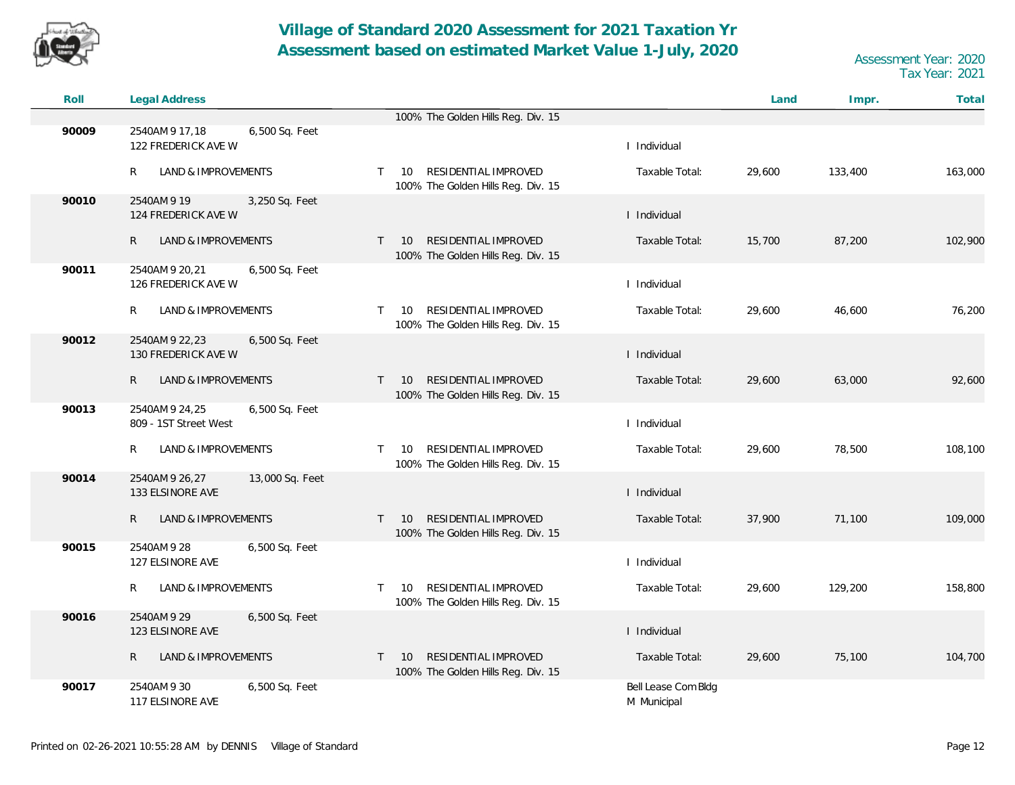

| Roll  | <b>Legal Address</b>                                      |                                                                                         |                                    | Land   | Impr.   | Total   |
|-------|-----------------------------------------------------------|-----------------------------------------------------------------------------------------|------------------------------------|--------|---------|---------|
|       |                                                           | 100% The Golden Hills Reg. Div. 15                                                      |                                    |        |         |         |
| 90009 | 2540AM 9 17,18<br>6,500 Sq. Feet<br>122 FREDERICK AVE W   |                                                                                         | I Individual                       |        |         |         |
|       | LAND & IMPROVEMENTS<br>R                                  | RESIDENTIAL IMPROVED<br>10<br>T.<br>100% The Golden Hills Reg. Div. 15                  | Taxable Total:                     | 29,600 | 133,400 | 163,000 |
| 90010 | 2540AM 9 19<br>3,250 Sq. Feet<br>124 FREDERICK AVE W      |                                                                                         | I Individual                       |        |         |         |
|       | $\mathsf{R}$<br>LAND & IMPROVEMENTS                       | RESIDENTIAL IMPROVED<br>$\mathsf{T}$<br><b>10</b><br>100% The Golden Hills Reg. Div. 15 | Taxable Total:                     | 15,700 | 87,200  | 102,900 |
| 90011 | 2540AM 9 20, 21<br>6,500 Sq. Feet<br>126 FREDERICK AVE W  |                                                                                         | I Individual                       |        |         |         |
|       | R<br>LAND & IMPROVEMENTS                                  | RESIDENTIAL IMPROVED<br>10<br>$\mathsf{T}$<br>100% The Golden Hills Reg. Div. 15        | Taxable Total:                     | 29,600 | 46,600  | 76,200  |
| 90012 | 2540AM 9 22, 23<br>6,500 Sq. Feet<br>130 FREDERICK AVE W  |                                                                                         | I Individual                       |        |         |         |
|       | $\mathsf{R}$<br>LAND & IMPROVEMENTS                       | RESIDENTIAL IMPROVED<br>10<br>$\mathsf{T}$<br>100% The Golden Hills Reg. Div. 15        | Taxable Total:                     | 29,600 | 63,000  | 92,600  |
| 90013 | 2540AM 9 24,25<br>6,500 Sq. Feet<br>809 - 1ST Street West |                                                                                         | I Individual                       |        |         |         |
|       | LAND & IMPROVEMENTS<br>R                                  | RESIDENTIAL IMPROVED<br>10<br>T.<br>100% The Golden Hills Reg. Div. 15                  | Taxable Total:                     | 29,600 | 78,500  | 108,100 |
| 90014 | 2540AM 9 26,27<br>13,000 Sq. Feet<br>133 ELSINORE AVE     |                                                                                         | I Individual                       |        |         |         |
|       | $\mathsf{R}$<br><b>LAND &amp; IMPROVEMENTS</b>            | <b>RESIDENTIAL IMPROVED</b><br>10<br>T.<br>100% The Golden Hills Reg. Div. 15           | Taxable Total:                     | 37,900 | 71,100  | 109,000 |
| 90015 | 2540AM 9 28<br>6,500 Sq. Feet<br>127 ELSINORE AVE         |                                                                                         | I Individual                       |        |         |         |
|       | R<br>LAND & IMPROVEMENTS                                  | RESIDENTIAL IMPROVED<br>10<br>$\top$<br>100% The Golden Hills Reg. Div. 15              | Taxable Total:                     | 29,600 | 129,200 | 158,800 |
| 90016 | 2540AM 9 29<br>6,500 Sq. Feet<br>123 ELSINORE AVE         |                                                                                         | I Individual                       |        |         |         |
|       | $\mathsf{R}$<br>LAND & IMPROVEMENTS                       | RESIDENTIAL IMPROVED<br>T<br>10<br>100% The Golden Hills Reg. Div. 15                   | Taxable Total:                     | 29,600 | 75,100  | 104,700 |
| 90017 | 2540AM 9 30<br>6,500 Sq. Feet<br>117 ELSINORE AVE         |                                                                                         | Bell Lease Com Bldg<br>M Municipal |        |         |         |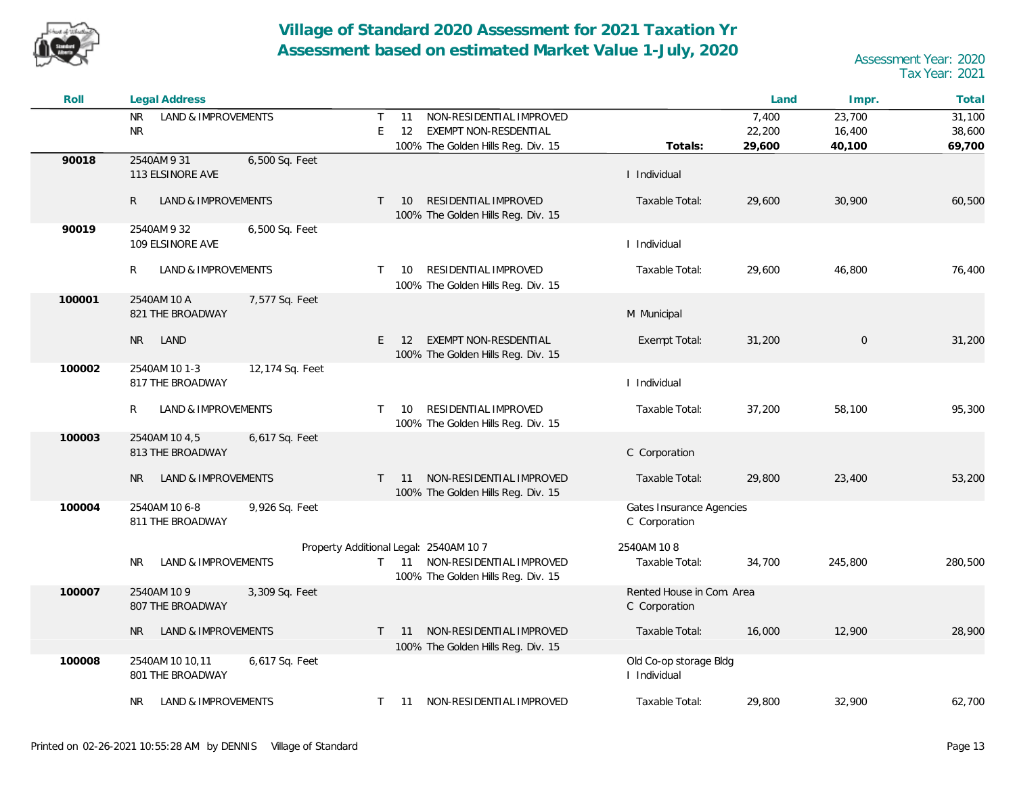

| Roll   | <b>Legal Address</b>                                  |                                                                                                                             |                                            | Land   | Impr.          | Total   |
|--------|-------------------------------------------------------|-----------------------------------------------------------------------------------------------------------------------------|--------------------------------------------|--------|----------------|---------|
|        | <b>NR</b><br>LAND & IMPROVEMENTS                      | NON-RESIDENTIAL IMPROVED<br>$\mathsf{T}$<br>11                                                                              |                                            | 7,400  | 23,700         | 31,100  |
|        | <b>NR</b>                                             | E<br>12<br>EXEMPT NON-RESDENTIAL                                                                                            |                                            | 22,200 | 16,400         | 38,600  |
|        |                                                       | 100% The Golden Hills Reg. Div. 15                                                                                          | Totals:                                    | 29,600 | 40,100         | 69,700  |
| 90018  | 2540AM 9 31<br>6,500 Sq. Feet<br>113 ELSINORE AVE     |                                                                                                                             | I Individual                               |        |                |         |
|        | $\mathsf{R}$<br>LAND & IMPROVEMENTS                   | RESIDENTIAL IMPROVED<br>T<br>10<br>100% The Golden Hills Reg. Div. 15                                                       | Taxable Total:                             | 29,600 | 30,900         | 60,500  |
| 90019  | 2540AM 9 32<br>6,500 Sq. Feet<br>109 ELSINORE AVE     |                                                                                                                             | I Individual                               |        |                |         |
|        | R<br>LAND & IMPROVEMENTS                              | RESIDENTIAL IMPROVED<br>T.<br>10<br>100% The Golden Hills Reg. Div. 15                                                      | Taxable Total:                             | 29,600 | 46,800         | 76,400  |
| 100001 | 2540AM 10 A<br>7,577 Sq. Feet<br>821 THE BROADWAY     |                                                                                                                             | M Municipal                                |        |                |         |
|        | LAND<br><b>NR</b>                                     | E<br>EXEMPT NON-RESDENTIAL<br>12<br>100% The Golden Hills Reg. Div. 15                                                      | Exempt Total:                              | 31,200 | $\overline{0}$ | 31,200  |
| 100002 | 12,174 Sq. Feet<br>2540AM 10 1-3<br>817 THE BROADWAY  |                                                                                                                             | I Individual                               |        |                |         |
|        | LAND & IMPROVEMENTS<br>R                              | RESIDENTIAL IMPROVED<br>10<br>$\top$<br>100% The Golden Hills Reg. Div. 15                                                  | Taxable Total:                             | 37,200 | 58,100         | 95,300  |
| 100003 | 2540AM 10 4,5<br>6,617 Sq. Feet<br>813 THE BROADWAY   |                                                                                                                             | C Corporation                              |        |                |         |
|        | <b>NR</b><br>LAND & IMPROVEMENTS                      | 11 NON-RESIDENTIAL IMPROVED<br>$\top$<br>100% The Golden Hills Reg. Div. 15                                                 | Taxable Total:                             | 29,800 | 23,400         | 53,200  |
| 100004 | 2540AM 10 6-8<br>9,926 Sq. Feet<br>811 THE BROADWAY   |                                                                                                                             | Gates Insurance Agencies<br>C Corporation  |        |                |         |
|        | LAND & IMPROVEMENTS<br>NR.                            | Property Additional Legal: 2540AM 10 7<br>11 NON-RESIDENTIAL IMPROVED<br>$\mathsf{T}$<br>100% The Golden Hills Reg. Div. 15 | 2540AM 108<br>Taxable Total:               | 34,700 | 245,800        | 280,500 |
| 100007 | 2540AM 10 9<br>3,309 Sq. Feet<br>807 THE BROADWAY     |                                                                                                                             | Rented House in Com. Area<br>C Corporation |        |                |         |
|        | LAND & IMPROVEMENTS<br><b>NR</b>                      | 11 NON-RESIDENTIAL IMPROVED<br>$\top$                                                                                       | Taxable Total:                             | 16,000 | 12,900         | 28,900  |
|        |                                                       | 100% The Golden Hills Reg. Div. 15                                                                                          |                                            |        |                |         |
| 100008 | 2540AM 10 10,11<br>6,617 Sq. Feet<br>801 THE BROADWAY |                                                                                                                             | Old Co-op storage Bldg<br>I Individual     |        |                |         |
|        | LAND & IMPROVEMENTS<br>NR.                            | 11 NON-RESIDENTIAL IMPROVED<br>T.                                                                                           | Taxable Total:                             | 29,800 | 32,900         | 62,700  |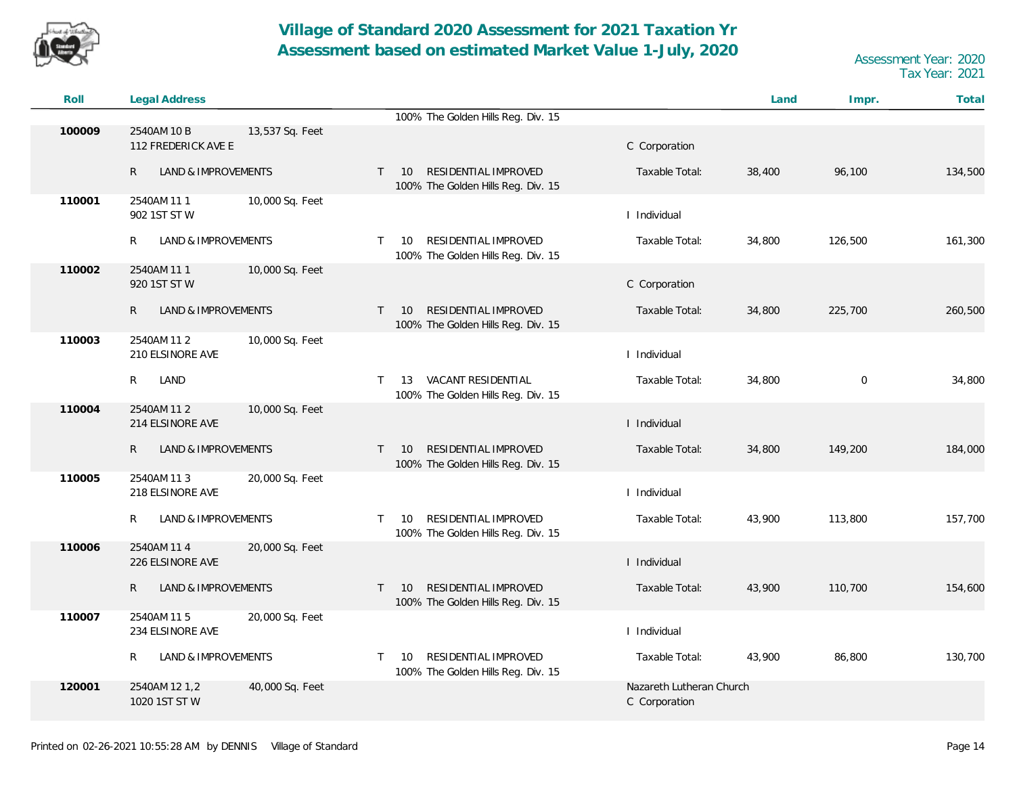

| Roll   | <b>Legal Address</b>                |                 |              |                                                                         |                                           | Land   | Impr.       | Total   |
|--------|-------------------------------------|-----------------|--------------|-------------------------------------------------------------------------|-------------------------------------------|--------|-------------|---------|
|        |                                     |                 |              | 100% The Golden Hills Reg. Div. 15                                      |                                           |        |             |         |
| 100009 | 2540AM 10 B<br>112 FREDERICK AVE E  | 13,537 Sq. Feet |              |                                                                         | C Corporation                             |        |             |         |
|        | $\mathsf{R}$<br>LAND & IMPROVEMENTS |                 | $\mathsf{T}$ | RESIDENTIAL IMPROVED<br>10<br>100% The Golden Hills Reg. Div. 15        | Taxable Total:                            | 38,400 | 96,100      | 134,500 |
| 110001 | 2540AM 111<br>902 1ST ST W          | 10,000 Sq. Feet |              |                                                                         | I Individual                              |        |             |         |
|        | LAND & IMPROVEMENTS<br>R            |                 | $\mathsf{T}$ | RESIDENTIAL IMPROVED<br>10<br>100% The Golden Hills Reg. Div. 15        | Taxable Total:                            | 34,800 | 126,500     | 161,300 |
| 110002 | 2540AM 111<br>920 1ST ST W          | 10,000 Sq. Feet |              |                                                                         | C Corporation                             |        |             |         |
|        | $\mathsf{R}$<br>LAND & IMPROVEMENTS |                 | $T = 10$     | RESIDENTIAL IMPROVED<br>100% The Golden Hills Reg. Div. 15              | Taxable Total:                            | 34,800 | 225,700     | 260,500 |
| 110003 | 2540AM 11 2<br>210 ELSINORE AVE     | 10,000 Sq. Feet |              |                                                                         | I Individual                              |        |             |         |
|        | R<br>LAND                           |                 | $\mathsf{T}$ | VACANT RESIDENTIAL<br>13<br>100% The Golden Hills Reg. Div. 15          | Taxable Total:                            | 34,800 | $\mathbf 0$ | 34,800  |
| 110004 | 2540AM 11 2<br>214 ELSINORE AVE     | 10,000 Sq. Feet |              |                                                                         | I Individual                              |        |             |         |
|        | $\mathsf{R}$<br>LAND & IMPROVEMENTS |                 | $\mathsf{T}$ | RESIDENTIAL IMPROVED<br>10<br>100% The Golden Hills Reg. Div. 15        | Taxable Total:                            | 34,800 | 149,200     | 184,000 |
| 110005 | 2540AM 11 3<br>218 ELSINORE AVE     | 20,000 Sq. Feet |              |                                                                         | I Individual                              |        |             |         |
|        | LAND & IMPROVEMENTS<br>R.           |                 | $\top$       | RESIDENTIAL IMPROVED<br>10<br>100% The Golden Hills Reg. Div. 15        | Taxable Total:                            | 43,900 | 113,800     | 157,700 |
| 110006 | 2540AM 11 4<br>226 ELSINORE AVE     | 20,000 Sq. Feet |              |                                                                         | I Individual                              |        |             |         |
|        | LAND & IMPROVEMENTS<br>R.           |                 | $\mathsf{T}$ | RESIDENTIAL IMPROVED<br><b>10</b><br>100% The Golden Hills Reg. Div. 15 | Taxable Total:                            | 43,900 | 110,700     | 154,600 |
| 110007 | 2540AM 11 5<br>234 ELSINORE AVE     | 20,000 Sq. Feet |              |                                                                         | I Individual                              |        |             |         |
|        | R<br>LAND & IMPROVEMENTS            |                 | $\top$       | RESIDENTIAL IMPROVED<br>10<br>100% The Golden Hills Reg. Div. 15        | Taxable Total:                            | 43,900 | 86,800      | 130,700 |
| 120001 | 2540AM 12 1,2<br>1020 1ST ST W      | 40,000 Sq. Feet |              |                                                                         | Nazareth Lutheran Church<br>C Corporation |        |             |         |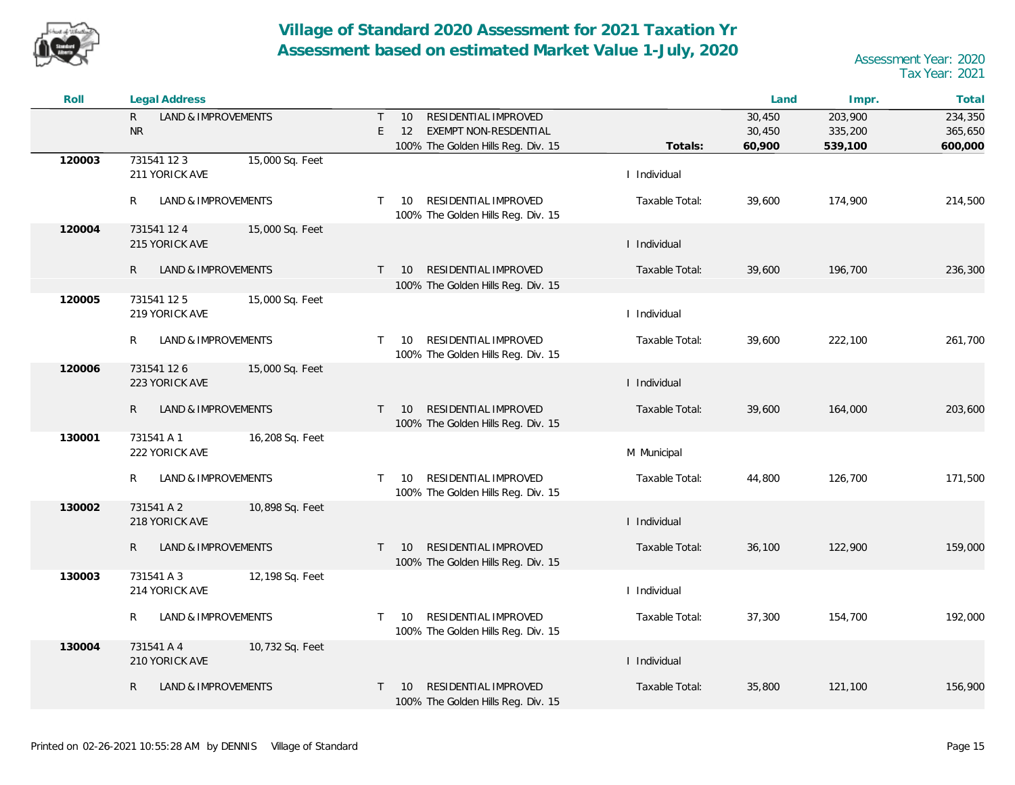

| Roll   | <b>Legal Address</b>                             |                                                                           |                | Land             | Impr.              | Total              |
|--------|--------------------------------------------------|---------------------------------------------------------------------------|----------------|------------------|--------------------|--------------------|
|        | LAND & IMPROVEMENTS<br>$\mathsf{R}$<br><b>NR</b> | RESIDENTIAL IMPROVED<br>$\top$<br>10<br>E.<br>12<br>EXEMPT NON-RESDENTIAL |                | 30,450<br>30,450 | 203,900<br>335,200 | 234,350<br>365,650 |
|        |                                                  | 100% The Golden Hills Reg. Div. 15                                        | Totals:        | 60,900           | 539,100            | 600,000            |
| 120003 | 15,000 Sq. Feet<br>731541 12 3<br>211 YORICK AVE |                                                                           | I Individual   |                  |                    |                    |
|        | R<br>LAND & IMPROVEMENTS                         | RESIDENTIAL IMPROVED<br>T.<br>- 10<br>100% The Golden Hills Reg. Div. 15  | Taxable Total: | 39,600           | 174,900            | 214,500            |
| 120004 | 731541 12 4<br>15,000 Sq. Feet<br>215 YORICK AVE |                                                                           | I Individual   |                  |                    |                    |
|        | $\mathsf{R}$<br>LAND & IMPROVEMENTS              | RESIDENTIAL IMPROVED<br>10<br>T.                                          | Taxable Total: | 39,600           | 196,700            | 236,300            |
|        |                                                  | 100% The Golden Hills Reg. Div. 15                                        |                |                  |                    |                    |
| 120005 | 15,000 Sq. Feet<br>731541 125<br>219 YORICK AVE  |                                                                           | I Individual   |                  |                    |                    |
|        | R.<br>LAND & IMPROVEMENTS                        | RESIDENTIAL IMPROVED<br>10<br>T.<br>100% The Golden Hills Reg. Div. 15    | Taxable Total: | 39,600           | 222,100            | 261,700            |
| 120006 | 731541 126<br>15,000 Sq. Feet<br>223 YORICK AVE  |                                                                           | I Individual   |                  |                    |                    |
|        | $\mathsf{R}$<br>LAND & IMPROVEMENTS              | T 10 RESIDENTIAL IMPROVED<br>100% The Golden Hills Reg. Div. 15           | Taxable Total: | 39,600           | 164,000            | 203,600            |
| 130001 | 731541 A 1<br>16,208 Sq. Feet<br>222 YORICK AVE  |                                                                           | M Municipal    |                  |                    |                    |
|        | LAND & IMPROVEMENTS<br>R                         | RESIDENTIAL IMPROVED<br>10<br>T.<br>100% The Golden Hills Reg. Div. 15    | Taxable Total: | 44,800           | 126,700            | 171,500            |
| 130002 | 731541 A 2<br>10,898 Sq. Feet<br>218 YORICK AVE  |                                                                           | I Individual   |                  |                    |                    |
|        | R.<br>LAND & IMPROVEMENTS                        | RESIDENTIAL IMPROVED<br>- 10<br>T.<br>100% The Golden Hills Reg. Div. 15  | Taxable Total: | 36,100           | 122,900            | 159,000            |
| 130003 | 731541 A 3<br>12,198 Sq. Feet<br>214 YORICK AVE  |                                                                           | I Individual   |                  |                    |                    |
|        | LAND & IMPROVEMENTS<br>R                         | RESIDENTIAL IMPROVED<br>10<br>T.<br>100% The Golden Hills Reg. Div. 15    | Taxable Total: | 37,300           | 154,700            | 192,000            |
| 130004 | 731541 A 4<br>10,732 Sq. Feet<br>210 YORICK AVE  |                                                                           | I Individual   |                  |                    |                    |
|        | R<br>LAND & IMPROVEMENTS                         | RESIDENTIAL IMPROVED<br>10<br>T<br>100% The Golden Hills Reg. Div. 15     | Taxable Total: | 35,800           | 121,100            | 156,900            |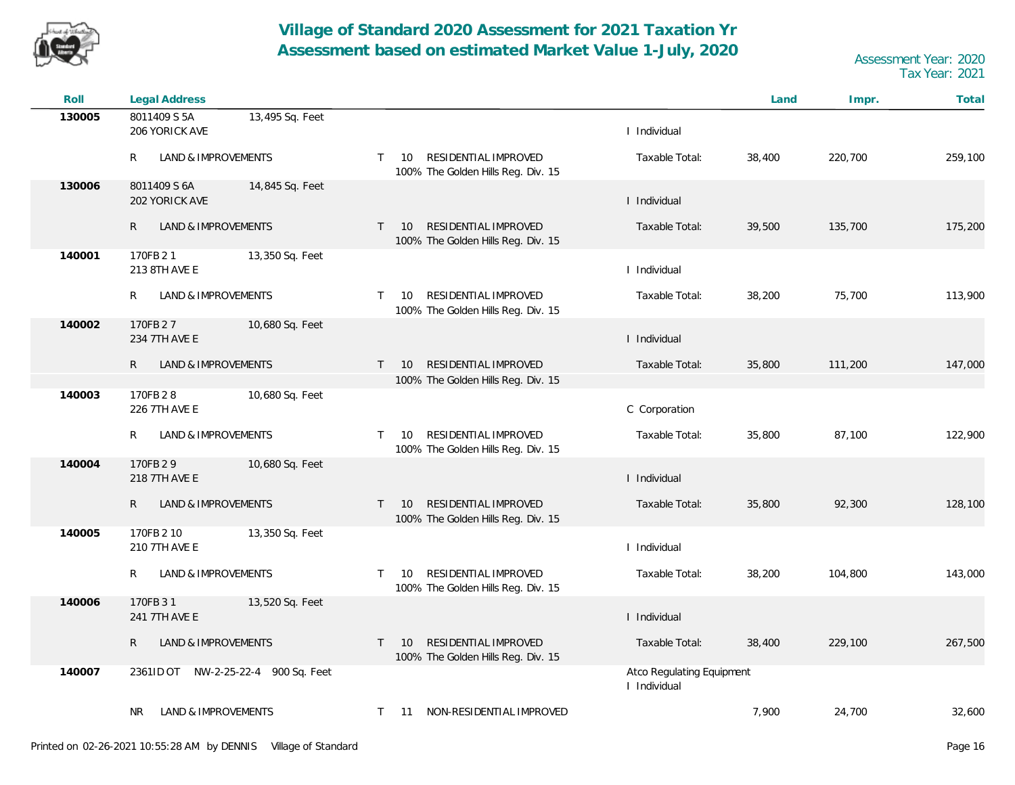

| Roll   | <b>Legal Address</b>                              |                                                                                  |                                           | Land   | Impr.   | Total   |
|--------|---------------------------------------------------|----------------------------------------------------------------------------------|-------------------------------------------|--------|---------|---------|
| 130005 | 8011409 S 5A<br>13,495 Sq. Feet<br>206 YORICK AVE |                                                                                  | I Individual                              |        |         |         |
|        | LAND & IMPROVEMENTS<br>R                          | RESIDENTIAL IMPROVED<br>10<br>$\top$<br>100% The Golden Hills Reg. Div. 15       | Taxable Total:                            | 38,400 | 220,700 | 259,100 |
| 130006 | 8011409 S 6A<br>14,845 Sq. Feet<br>202 YORICK AVE |                                                                                  | I Individual                              |        |         |         |
|        | R<br>LAND & IMPROVEMENTS                          | RESIDENTIAL IMPROVED<br>10<br>T<br>100% The Golden Hills Reg. Div. 15            | Taxable Total:                            | 39,500 | 135,700 | 175,200 |
| 140001 | 170FB 21<br>13,350 Sq. Feet<br>213 8TH AVE E      |                                                                                  | I Individual                              |        |         |         |
|        | LAND & IMPROVEMENTS<br>R                          | RESIDENTIAL IMPROVED<br>10<br>$\top$<br>100% The Golden Hills Reg. Div. 15       | Taxable Total:                            | 38,200 | 75,700  | 113,900 |
| 140002 | 170FB 27<br>10,680 Sq. Feet<br>234 7TH AVE E      |                                                                                  | I Individual                              |        |         |         |
|        | LAND & IMPROVEMENTS<br>R                          | RESIDENTIAL IMPROVED<br>10<br>T                                                  | Taxable Total:                            | 35,800 | 111,200 | 147,000 |
|        |                                                   | 100% The Golden Hills Reg. Div. 15                                               |                                           |        |         |         |
| 140003 | 170FB 28<br>10,680 Sq. Feet<br>226 7TH AVE E      |                                                                                  | C Corporation                             |        |         |         |
|        | LAND & IMPROVEMENTS<br>R                          | RESIDENTIAL IMPROVED<br>10<br>$\mathsf{T}$<br>100% The Golden Hills Reg. Div. 15 | Taxable Total:                            | 35,800 | 87,100  | 122,900 |
| 140004 | 170FB 29<br>10,680 Sq. Feet<br>218 7TH AVE E      |                                                                                  | I Individual                              |        |         |         |
|        | LAND & IMPROVEMENTS<br>R                          | RESIDENTIAL IMPROVED<br>10<br>$\mathsf{T}$<br>100% The Golden Hills Reg. Div. 15 | Taxable Total:                            | 35,800 | 92,300  | 128,100 |
| 140005 | 13,350 Sq. Feet<br>170FB 2 10                     |                                                                                  |                                           |        |         |         |
|        | 210 7TH AVE E                                     |                                                                                  | I Individual                              |        |         |         |
|        | LAND & IMPROVEMENTS<br>R                          | RESIDENTIAL IMPROVED<br>$\mathsf{T}$<br>10<br>100% The Golden Hills Reg. Div. 15 | Taxable Total:                            | 38,200 | 104,800 | 143,000 |
| 140006 | 170FB 31<br>13,520 Sq. Feet<br>241 7TH AVE E      |                                                                                  | I Individual                              |        |         |         |
|        | LAND & IMPROVEMENTS<br>R                          | RESIDENTIAL IMPROVED<br>10<br>$\top$<br>100% The Golden Hills Reg. Div. 15       | Taxable Total:                            | 38,400 | 229,100 | 267,500 |
| 140007 | 2361ID OT NW-2-25-22-4 900 Sq. Feet               |                                                                                  | Atco Regulating Equipment<br>I Individual |        |         |         |
|        | LAND & IMPROVEMENTS<br>NR.                        | NON-RESIDENTIAL IMPROVED<br>$\top$<br>- 11                                       |                                           | 7,900  | 24,700  | 32,600  |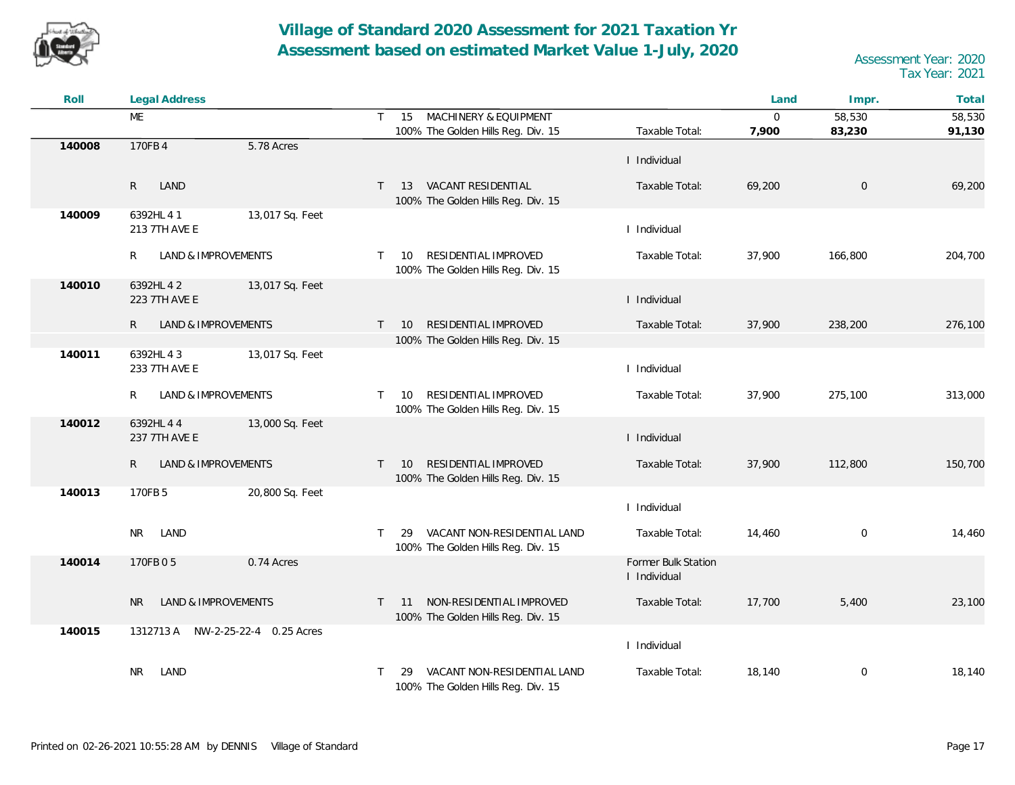

| Roll   | <b>Legal Address</b>                |                 |          |                                                                   |                                     | Land         | Impr.       | Total   |
|--------|-------------------------------------|-----------------|----------|-------------------------------------------------------------------|-------------------------------------|--------------|-------------|---------|
|        | ME                                  | $\mathsf{T}$    |          | 15 MACHINERY & EQUIPMENT                                          |                                     | $\mathbf{0}$ | 58,530      | 58,530  |
|        |                                     |                 |          | 100% The Golden Hills Reg. Div. 15                                | Taxable Total:                      | 7,900        | 83,230      | 91,130  |
| 140008 | 170FB 4<br>5.78 Acres               |                 |          |                                                                   | I Individual                        |              |             |         |
|        | LAND<br>$\mathsf{R}$                | $\top$          | 13       | VACANT RESIDENTIAL<br>100% The Golden Hills Reg. Div. 15          | Taxable Total:                      | 69,200       | $\mathbf 0$ | 69,200  |
| 140009 | 6392HL 4 1<br>213 7TH AVE E         | 13,017 Sq. Feet |          |                                                                   | I Individual                        |              |             |         |
|        | R<br>LAND & IMPROVEMENTS            |                 | $T = 10$ | RESIDENTIAL IMPROVED<br>100% The Golden Hills Reg. Div. 15        | Taxable Total:                      | 37,900       | 166,800     | 204,700 |
| 140010 | 6392HL 4 2<br>223 7TH AVE E         | 13,017 Sq. Feet |          |                                                                   | I Individual                        |              |             |         |
|        | LAND & IMPROVEMENTS<br>R            | $\mathsf{T}$    | 10       | RESIDENTIAL IMPROVED                                              | Taxable Total:                      | 37,900       | 238,200     | 276,100 |
|        |                                     |                 |          | 100% The Golden Hills Reg. Div. 15                                |                                     |              |             |         |
| 140011 | 6392HL 43<br>233 7TH AVE E          | 13,017 Sq. Feet |          |                                                                   | I Individual                        |              |             |         |
|        | R<br>LAND & IMPROVEMENTS            | T.              | 10       | RESIDENTIAL IMPROVED<br>100% The Golden Hills Reg. Div. 15        | Taxable Total:                      | 37,900       | 275,100     | 313,000 |
| 140012 | 6392HL 4 4<br>237 7TH AVE E         | 13,000 Sq. Feet |          |                                                                   | I Individual                        |              |             |         |
|        | $\mathsf{R}$<br>LAND & IMPROVEMENTS |                 | $T = 10$ | RESIDENTIAL IMPROVED<br>100% The Golden Hills Reg. Div. 15        | Taxable Total:                      | 37,900       | 112,800     | 150,700 |
| 140013 | 170FB 5                             | 20,800 Sq. Feet |          |                                                                   | I Individual                        |              |             |         |
|        | LAND<br>NR.                         | T.              | 29       | VACANT NON-RESIDENTIAL LAND<br>100% The Golden Hills Reg. Div. 15 | Taxable Total:                      | 14,460       | $\mathbf 0$ | 14,460  |
| 140014 | 0.74 Acres<br>170FB 0 5             |                 |          |                                                                   | Former Bulk Station<br>I Individual |              |             |         |
|        | LAND & IMPROVEMENTS<br><b>NR</b>    | T.              | -11      | NON-RESIDENTIAL IMPROVED<br>100% The Golden Hills Reg. Div. 15    | Taxable Total:                      | 17,700       | 5,400       | 23,100  |
| 140015 | 1312713 A NW-2-25-22-4 0.25 Acres   |                 |          |                                                                   | I Individual                        |              |             |         |
|        | <b>NR</b><br>LAND                   | T.              | 29       | VACANT NON-RESIDENTIAL LAND<br>100% The Golden Hills Reg. Div. 15 | Taxable Total:                      | 18,140       | $\mathbf 0$ | 18,140  |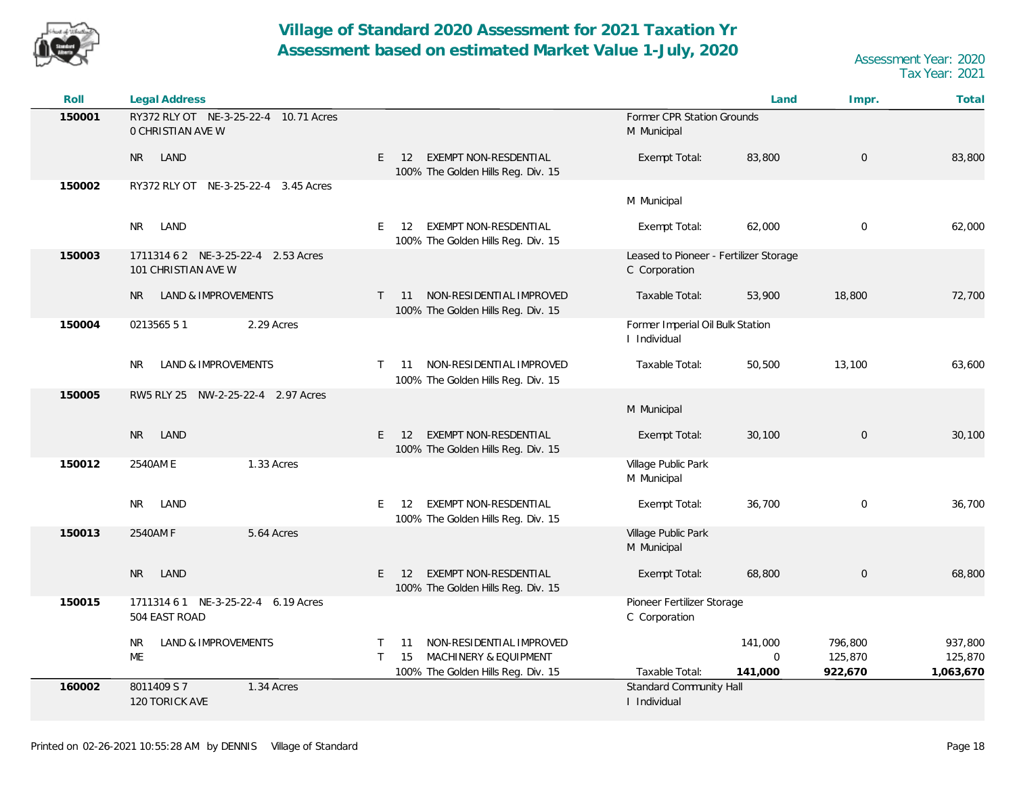

| Roll   | Legal Address                                                     |                                                                                                                           |                                                         | Land                              | Impr.                         | Total                           |
|--------|-------------------------------------------------------------------|---------------------------------------------------------------------------------------------------------------------------|---------------------------------------------------------|-----------------------------------|-------------------------------|---------------------------------|
| 150001 | RY372 RLY OT NE-3-25-22-4 10.71 Acres<br><b>O CHRISTIAN AVE W</b> |                                                                                                                           | Former CPR Station Grounds<br>M Municipal               |                                   |                               |                                 |
|        | LAND<br><b>NR</b>                                                 | EXEMPT NON-RESDENTIAL<br>E<br>12<br>100% The Golden Hills Reg. Div. 15                                                    | Exempt Total:                                           | 83,800                            | $\mathbf 0$                   | 83,800                          |
| 150002 | RY372 RLY OT NE-3-25-22-4 3.45 Acres                              |                                                                                                                           | M Municipal                                             |                                   |                               |                                 |
|        | <b>NR</b><br>LAND                                                 | EXEMPT NON-RESDENTIAL<br>E.<br>12<br>100% The Golden Hills Reg. Div. 15                                                   | Exempt Total:                                           | 62,000                            | 0                             | 62,000                          |
| 150003 | 1711314 6 2 NE-3-25-22-4 2.53 Acres<br>101 CHRISTIAN AVE W        |                                                                                                                           | Leased to Pioneer - Fertilizer Storage<br>C Corporation |                                   |                               |                                 |
|        | LAND & IMPROVEMENTS<br><b>NR</b>                                  | NON-RESIDENTIAL IMPROVED<br>$\mathsf{T}$<br>- 11<br>100% The Golden Hills Reg. Div. 15                                    | Taxable Total:                                          | 53,900                            | 18,800                        | 72,700                          |
| 150004 | 0213565 51<br>2.29 Acres                                          |                                                                                                                           | Former Imperial Oil Bulk Station<br>I Individual        |                                   |                               |                                 |
|        | LAND & IMPROVEMENTS<br>NR.                                        | NON-RESIDENTIAL IMPROVED<br>$\mathsf{T}$<br>11<br>100% The Golden Hills Reg. Div. 15                                      | Taxable Total:                                          | 50,500                            | 13,100                        | 63,600                          |
| 150005 | RW5 RLY 25 NW-2-25-22-4 2.97 Acres                                |                                                                                                                           | M Municipal                                             |                                   |                               |                                 |
|        | <b>NR</b><br>LAND                                                 | EXEMPT NON-RESDENTIAL<br>E.<br><b>12</b><br>100% The Golden Hills Reg. Div. 15                                            | Exempt Total:                                           | 30,100                            | $\mathbf 0$                   | 30,100                          |
| 150012 | 2540AM E<br>1.33 Acres                                            |                                                                                                                           | Village Public Park<br>M Municipal                      |                                   |                               |                                 |
|        | LAND<br><b>NR</b>                                                 | 12 EXEMPT NON-RESDENTIAL<br>E.<br>100% The Golden Hills Reg. Div. 15                                                      | Exempt Total:                                           | 36,700                            | 0                             | 36,700                          |
| 150013 | 2540AM F<br>5.64 Acres                                            |                                                                                                                           | Village Public Park<br>M Municipal                      |                                   |                               |                                 |
|        | LAND<br><b>NR</b>                                                 | E<br>EXEMPT NON-RESDENTIAL<br>12<br>100% The Golden Hills Reg. Div. 15                                                    | Exempt Total:                                           | 68,800                            | $\mathbf 0$                   | 68,800                          |
| 150015 | 1711314 6 1 NE-3-25-22-4 6.19 Acres<br>504 EAST ROAD              |                                                                                                                           | Pioneer Fertilizer Storage<br>C Corporation             |                                   |                               |                                 |
|        | LAND & IMPROVEMENTS<br><b>NR</b><br>ME                            | NON-RESIDENTIAL IMPROVED<br>11<br>T.<br>$\mathsf{T}$<br>MACHINERY & EQUIPMENT<br>15<br>100% The Golden Hills Reg. Div. 15 | Taxable Total:                                          | 141,000<br>$\mathbf 0$<br>141,000 | 796,800<br>125,870<br>922,670 | 937,800<br>125,870<br>1,063,670 |
| 160002 | 8011409 S 7<br>1.34 Acres<br><b>120 TORICK AVE</b>                |                                                                                                                           | Standard Community Hall<br>I Individual                 |                                   |                               |                                 |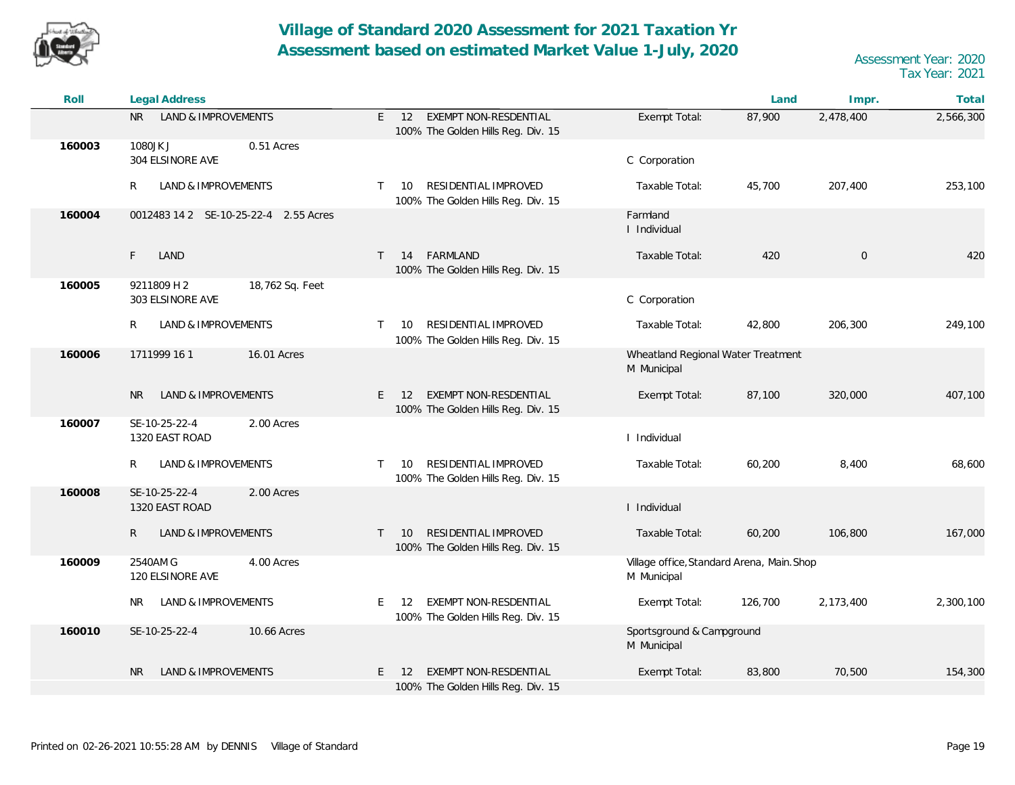

| Roll   | <b>Legal Address</b>                               |                                                                                  |                                                           | Land    | Impr.       | Total     |
|--------|----------------------------------------------------|----------------------------------------------------------------------------------|-----------------------------------------------------------|---------|-------------|-----------|
|        | <b>LAND &amp; IMPROVEMENTS</b><br>NR I             | EXEMPT NON-RESDENTIAL<br>E.<br>12<br>100% The Golden Hills Reg. Div. 15          | Exempt Total:                                             | 87,900  | 2,478,400   | 2,566,300 |
| 160003 | 1080JK J<br>0.51 Acres<br>304 ELSINORE AVE         |                                                                                  | C Corporation                                             |         |             |           |
|        | LAND & IMPROVEMENTS<br>R                           | RESIDENTIAL IMPROVED<br>10<br>$\mathsf{T}$<br>100% The Golden Hills Reg. Div. 15 | Taxable Total:                                            | 45,700  | 207,400     | 253,100   |
| 160004 | 0012483 14 2 SE-10-25-22-4 2.55 Acres              |                                                                                  | Farmland<br>I Individual                                  |         |             |           |
|        | F.<br>LAND                                         | FARMLAND<br>$\top$<br>14<br>100% The Golden Hills Reg. Div. 15                   | Taxable Total:                                            | 420     | $\mathbf 0$ | 420       |
| 160005 | 9211809 H 2<br>18,762 Sq. Feet<br>303 ELSINORE AVE |                                                                                  | C Corporation                                             |         |             |           |
|        | LAND & IMPROVEMENTS<br>R                           | RESIDENTIAL IMPROVED<br>$\mathsf{T}$<br>10<br>100% The Golden Hills Reg. Div. 15 | Taxable Total:                                            | 42,800  | 206,300     | 249,100   |
| 160006 | 1711999 16 1<br>16.01 Acres                        |                                                                                  | Wheatland Regional Water Treatment<br>M Municipal         |         |             |           |
|        | LAND & IMPROVEMENTS<br><b>NR</b>                   | EXEMPT NON-RESDENTIAL<br>E.<br>12<br>100% The Golden Hills Reg. Div. 15          | Exempt Total:                                             | 87,100  | 320,000     | 407,100   |
| 160007 | SE-10-25-22-4<br>2.00 Acres<br>1320 EAST ROAD      |                                                                                  | I Individual                                              |         |             |           |
|        | LAND & IMPROVEMENTS<br>R                           | RESIDENTIAL IMPROVED<br>T.<br>10<br>100% The Golden Hills Reg. Div. 15           | Taxable Total:                                            | 60,200  | 8,400       | 68,600    |
| 160008 | SE-10-25-22-4<br>2.00 Acres<br>1320 EAST ROAD      |                                                                                  | I Individual                                              |         |             |           |
|        | $\mathsf{R}$<br>LAND & IMPROVEMENTS                | RESIDENTIAL IMPROVED<br>T.<br>10<br>100% The Golden Hills Reg. Div. 15           | Taxable Total:                                            | 60,200  | 106,800     | 167,000   |
| 160009 | 2540AM G<br>4.00 Acres<br>120 ELSINORE AVE         |                                                                                  | Village office, Standard Arena, Main. Shop<br>M Municipal |         |             |           |
|        | LAND & IMPROVEMENTS<br>NR.                         | EXEMPT NON-RESDENTIAL<br>E.<br>-12<br>100% The Golden Hills Reg. Div. 15         | Exempt Total:                                             | 126,700 | 2,173,400   | 2,300,100 |
| 160010 | SE-10-25-22-4<br>10.66 Acres                       |                                                                                  | Sportsground & Campground<br>M Municipal                  |         |             |           |
|        | LAND & IMPROVEMENTS<br><b>NR</b>                   | EXEMPT NON-RESDENTIAL<br>E.<br>12<br>100% The Golden Hills Reg. Div. 15          | Exempt Total:                                             | 83,800  | 70,500      | 154,300   |
|        |                                                    |                                                                                  |                                                           |         |             |           |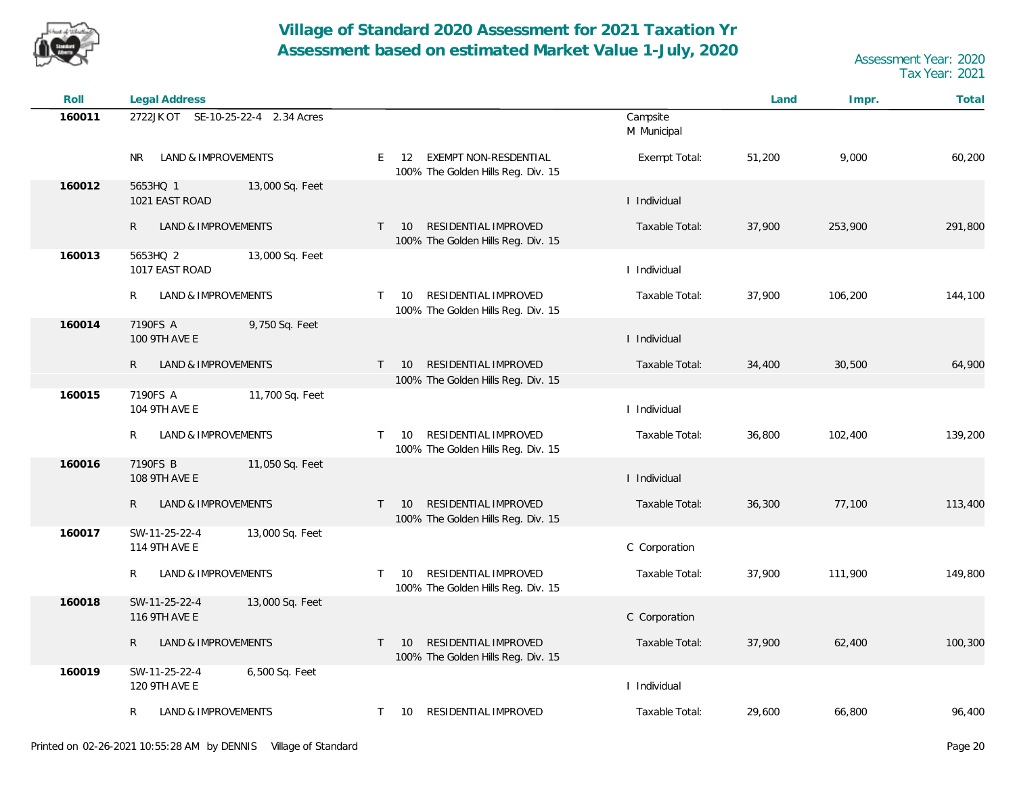

| Roll   | Legal Address                                     |                                                                                  |                         | Land   | Impr.   | Total   |
|--------|---------------------------------------------------|----------------------------------------------------------------------------------|-------------------------|--------|---------|---------|
| 160011 | 2722JK OT SE-10-25-22-4 2.34 Acres                |                                                                                  | Campsite<br>M Municipal |        |         |         |
|        | LAND & IMPROVEMENTS<br>NR.                        | E 12 EXEMPT NON-RESDENTIAL<br>100% The Golden Hills Reg. Div. 15                 | Exempt Total:           | 51,200 | 9,000   | 60,200  |
| 160012 | 5653HQ 1<br>13,000 Sq. Feet<br>1021 EAST ROAD     |                                                                                  | I Individual            |        |         |         |
|        | R<br>LAND & IMPROVEMENTS                          | RESIDENTIAL IMPROVED<br>$T = 10$<br>100% The Golden Hills Reg. Div. 15           | Taxable Total:          | 37,900 | 253,900 | 291,800 |
| 160013 | 5653HQ 2<br>13,000 Sq. Feet<br>1017 EAST ROAD     |                                                                                  | I Individual            |        |         |         |
|        | R<br>LAND & IMPROVEMENTS                          | RESIDENTIAL IMPROVED<br>10<br>T.<br>100% The Golden Hills Reg. Div. 15           | Taxable Total:          | 37,900 | 106,200 | 144,100 |
| 160014 | 7190FS A<br>9,750 Sq. Feet<br>100 9TH AVE E       |                                                                                  | I Individual            |        |         |         |
|        | R<br>LAND & IMPROVEMENTS                          | RESIDENTIAL IMPROVED<br>$\mathsf{T}$<br>10<br>100% The Golden Hills Reg. Div. 15 | Taxable Total:          | 34,400 | 30,500  | 64,900  |
| 160015 | 11,700 Sq. Feet<br>7190FS A<br>104 9TH AVE E      |                                                                                  | I Individual            |        |         |         |
|        | LAND & IMPROVEMENTS<br>R                          | RESIDENTIAL IMPROVED<br>10<br>$\mathsf{T}$<br>100% The Golden Hills Reg. Div. 15 | Taxable Total:          | 36,800 | 102,400 | 139,200 |
| 160016 | 7190FS B<br>11,050 Sq. Feet<br>108 9TH AVE E      |                                                                                  | I Individual            |        |         |         |
|        | LAND & IMPROVEMENTS<br>R.                         | RESIDENTIAL IMPROVED<br>10<br>$\mathsf{T}$<br>100% The Golden Hills Reg. Div. 15 | Taxable Total:          | 36,300 | 77,100  | 113,400 |
| 160017 | SW-11-25-22-4<br>13,000 Sq. Feet<br>114 9TH AVE E |                                                                                  | C Corporation           |        |         |         |
|        | LAND & IMPROVEMENTS<br>R                          | RESIDENTIAL IMPROVED<br>10<br>$\mathsf{T}$<br>100% The Golden Hills Reg. Div. 15 | Taxable Total:          | 37,900 | 111,900 | 149,800 |
| 160018 | SW-11-25-22-4<br>13,000 Sq. Feet<br>116 9TH AVE E |                                                                                  | C Corporation           |        |         |         |
|        | LAND & IMPROVEMENTS<br>R                          | RESIDENTIAL IMPROVED<br>10<br>$\mathsf{T}$<br>100% The Golden Hills Reg. Div. 15 | Taxable Total:          | 37,900 | 62,400  | 100,300 |
| 160019 | SW-11-25-22-4<br>6,500 Sq. Feet<br>120 9TH AVE E  |                                                                                  | I Individual            |        |         |         |
|        | LAND & IMPROVEMENTS<br>R                          | RESIDENTIAL IMPROVED<br>10<br>$\mathsf{T}$                                       | Taxable Total:          | 29,600 | 66,800  | 96,400  |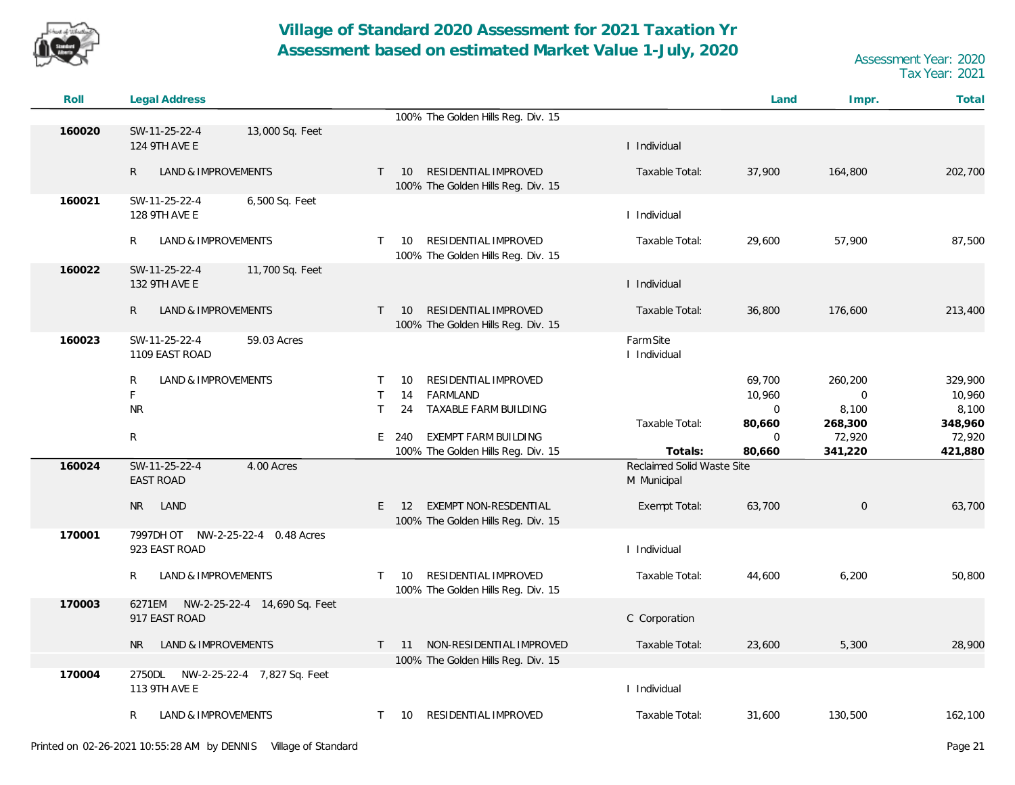

| Roll   | Legal Address                                           |                                                                                  |                                       | Land         | Impr.               | Total   |
|--------|---------------------------------------------------------|----------------------------------------------------------------------------------|---------------------------------------|--------------|---------------------|---------|
|        |                                                         | 100% The Golden Hills Reg. Div. 15                                               |                                       |              |                     |         |
| 160020 | SW-11-25-22-4<br>13,000 Sq. Feet<br>124 9TH AVE E       |                                                                                  | I Individual                          |              |                     |         |
|        | $\mathsf{R}$<br>LAND & IMPROVEMENTS                     | RESIDENTIAL IMPROVED<br>$\mathsf{T}$<br>10<br>100% The Golden Hills Reg. Div. 15 | Taxable Total:                        | 37,900       | 164,800             | 202,700 |
| 160021 | SW-11-25-22-4<br>6,500 Sq. Feet<br>128 9TH AVE E        |                                                                                  | I Individual                          |              |                     |         |
|        | R.<br>LAND & IMPROVEMENTS                               | RESIDENTIAL IMPROVED<br>10<br>$\mathsf{T}$<br>100% The Golden Hills Reg. Div. 15 | Taxable Total:                        | 29,600       | 57,900              | 87,500  |
| 160022 | SW-11-25-22-4<br>11,700 Sq. Feet<br>132 9TH AVE E       |                                                                                  | I Individual                          |              |                     |         |
|        | LAND & IMPROVEMENTS<br>$\mathsf{R}$                     | RESIDENTIAL IMPROVED<br>10<br>$\top$<br>100% The Golden Hills Reg. Div. 15       | Taxable Total:                        | 36,800       | 176,600             | 213,400 |
| 160023 | SW-11-25-22-4<br>59.03 Acres<br>1109 EAST ROAD          |                                                                                  | Farm Site<br>I Individual             |              |                     |         |
|        | R<br>LAND & IMPROVEMENTS                                | RESIDENTIAL IMPROVED<br>10<br>$\top$                                             |                                       | 69,700       | 260,200             | 329,900 |
|        | F                                                       | $\top$<br>14<br>FARMLAND                                                         |                                       | 10,960       | 0                   | 10,960  |
|        | <b>NR</b>                                               | $\mathsf{T}$<br>TAXABLE FARM BUILDING<br>24                                      |                                       | $\mathbf{0}$ | 8,100               | 8,100   |
|        |                                                         |                                                                                  | Taxable Total:                        | 80,660       | 268,300             | 348,960 |
|        | $\mathsf{R}$                                            | E 240<br><b>EXEMPT FARM BUILDING</b>                                             |                                       | $\mathbf 0$  | 72,920              | 72,920  |
| 160024 | SW-11-25-22-4<br>4.00 Acres                             | 100% The Golden Hills Reg. Div. 15                                               | Totals:<br>Reclaimed Solid Waste Site | 80,660       | 341,220             | 421,880 |
|        | <b>EAST ROAD</b>                                        |                                                                                  | M Municipal                           |              |                     |         |
|        | LAND<br>NR.                                             | EXEMPT NON-RESDENTIAL<br>$E$ 12<br>100% The Golden Hills Reg. Div. 15            | Exempt Total:                         | 63,700       | $\mathsf{O}\xspace$ | 63,700  |
| 170001 | 7997DH OT NW-2-25-22-4 0.48 Acres                       |                                                                                  |                                       |              |                     |         |
|        | 923 EAST ROAD                                           |                                                                                  | I Individual                          |              |                     |         |
|        | LAND & IMPROVEMENTS<br>R                                | RESIDENTIAL IMPROVED<br>10<br>$\mathsf{T}$<br>100% The Golden Hills Reg. Div. 15 | Taxable Total:                        | 44,600       | 6,200               | 50,800  |
| 170003 | NW-2-25-22-4 14,690 Sq. Feet<br>6271EM<br>917 EAST ROAD |                                                                                  | C Corporation                         |              |                     |         |
|        | LAND & IMPROVEMENTS<br>NR.                              | 11 NON-RESIDENTIAL IMPROVED<br>$\top$                                            | Taxable Total:                        | 23,600       | 5,300               | 28,900  |
|        |                                                         | 100% The Golden Hills Reg. Div. 15                                               |                                       |              |                     |         |
| 170004 | 2750DL NW-2-25-22-4 7,827 Sq. Feet                      |                                                                                  |                                       |              |                     |         |
|        | 113 9TH AVE E                                           |                                                                                  | I Individual                          |              |                     |         |
|        | LAND & IMPROVEMENTS<br>R                                | T 10 RESIDENTIAL IMPROVED                                                        | Taxable Total:                        | 31,600       | 130,500             | 162,100 |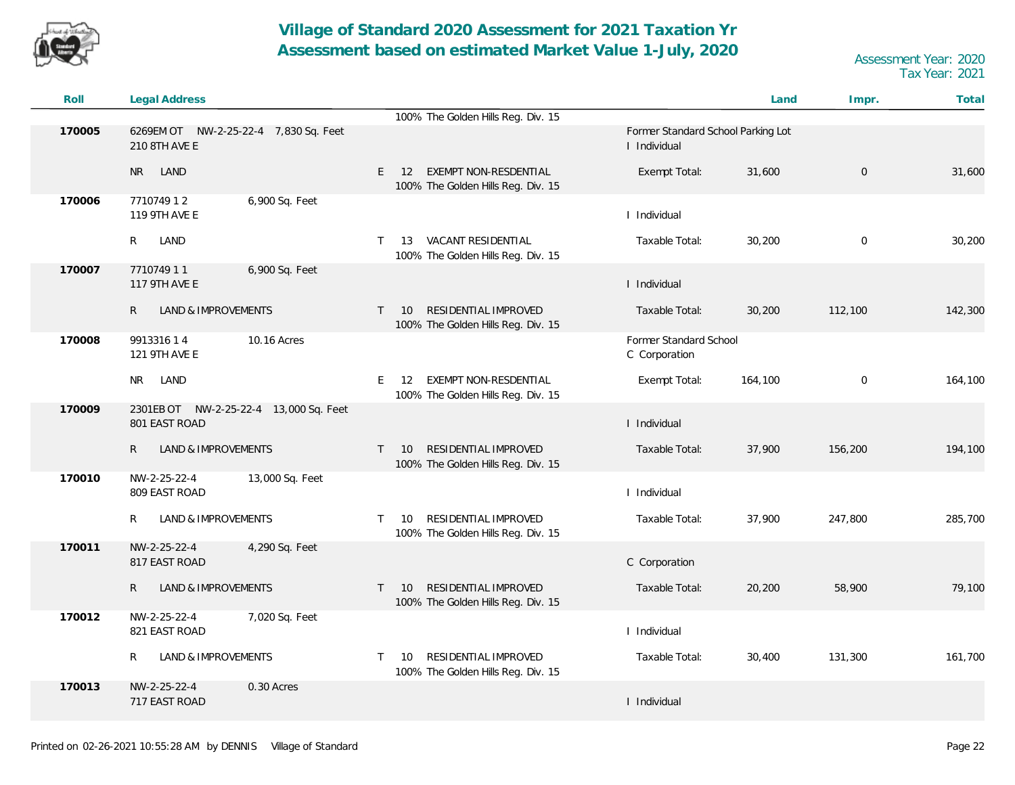

| Roll   | Legal Address                                           |                                                                                  |                                                    | Land    | Impr.        | Total   |
|--------|---------------------------------------------------------|----------------------------------------------------------------------------------|----------------------------------------------------|---------|--------------|---------|
|        |                                                         | 100% The Golden Hills Reg. Div. 15                                               |                                                    |         |              |         |
| 170005 | 210 8TH AVE E                                           |                                                                                  | Former Standard School Parking Lot<br>I Individual |         |              |         |
|        | LAND<br><b>NR</b>                                       | EXEMPT NON-RESDENTIAL<br>E.<br>12<br>100% The Golden Hills Reg. Div. 15          | Exempt Total:                                      | 31,600  | $\mathbf 0$  | 31,600  |
| 170006 | 771074912<br>6,900 Sq. Feet<br>119 9TH AVE E            |                                                                                  | I Individual                                       |         |              |         |
|        | R<br>LAND                                               | 13 VACANT RESIDENTIAL<br>T.<br>100% The Golden Hills Reg. Div. 15                | Taxable Total:                                     | 30,200  | $\mathbf 0$  | 30,200  |
| 170007 | 6,900 Sq. Feet<br>771074911<br>117 9TH AVE E            |                                                                                  | I Individual                                       |         |              |         |
|        | $\mathsf{R}$<br><b>LAND &amp; IMPROVEMENTS</b>          | RESIDENTIAL IMPROVED<br>10<br>T<br>100% The Golden Hills Reg. Div. 15            | Taxable Total:                                     | 30,200  | 112,100      | 142,300 |
| 170008 | 10.16 Acres<br>991331614<br>121 9TH AVE E               |                                                                                  | Former Standard School<br>C Corporation            |         |              |         |
|        | LAND<br><b>NR</b>                                       | EXEMPT NON-RESDENTIAL<br>E.<br>12<br>100% The Golden Hills Reg. Div. 15          | Exempt Total:                                      | 164,100 | $\mathbf{0}$ | 164,100 |
| 170009 | 2301EB OT NW-2-25-22-4 13,000 Sq. Feet<br>801 EAST ROAD |                                                                                  | I Individual                                       |         |              |         |
|        | $\mathsf{R}$<br>LAND & IMPROVEMENTS                     | RESIDENTIAL IMPROVED<br>10<br>$\mathsf{T}$<br>100% The Golden Hills Reg. Div. 15 | Taxable Total:                                     | 37,900  | 156,200      | 194,100 |
| 170010 | 13,000 Sq. Feet<br>NW-2-25-22-4<br>809 EAST ROAD        |                                                                                  | I Individual                                       |         |              |         |
|        | R<br>LAND & IMPROVEMENTS                                | RESIDENTIAL IMPROVED<br>10<br>T.<br>100% The Golden Hills Reg. Div. 15           | Taxable Total:                                     | 37,900  | 247,800      | 285,700 |
| 170011 | NW-2-25-22-4<br>4,290 Sq. Feet<br>817 EAST ROAD         |                                                                                  | C Corporation                                      |         |              |         |
|        | LAND & IMPROVEMENTS<br>R.                               | RESIDENTIAL IMPROVED<br>$T = 10$<br>100% The Golden Hills Reg. Div. 15           | Taxable Total:                                     | 20,200  | 58,900       | 79,100  |
| 170012 | NW-2-25-22-4<br>7,020 Sq. Feet<br>821 EAST ROAD         |                                                                                  | I Individual                                       |         |              |         |
|        | <b>LAND &amp; IMPROVEMENTS</b><br>R                     | RESIDENTIAL IMPROVED<br>10<br>T.<br>100% The Golden Hills Reg. Div. 15           | Taxable Total:                                     | 30,400  | 131,300      | 161,700 |
| 170013 | NW-2-25-22-4<br>0.30 Acres<br>717 EAST ROAD             |                                                                                  | I Individual                                       |         |              |         |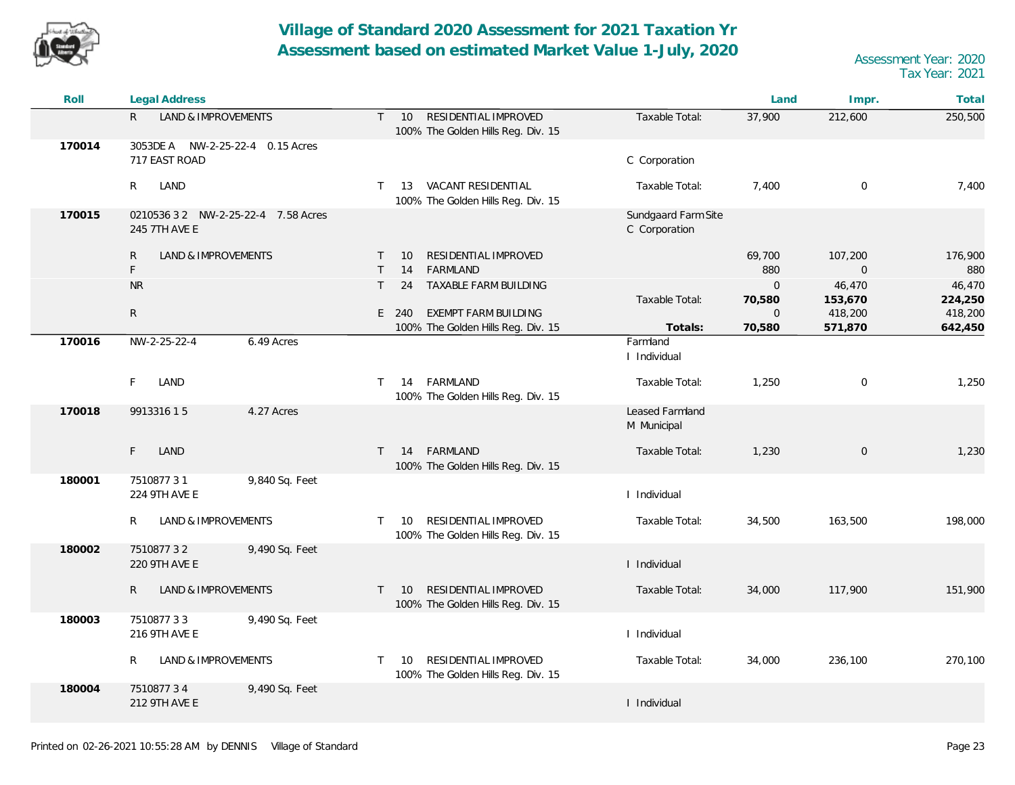

| Roll   | Legal Address                                        |                                                                                  |                                      | Land                  | Impr.                     | Total              |
|--------|------------------------------------------------------|----------------------------------------------------------------------------------|--------------------------------------|-----------------------|---------------------------|--------------------|
|        | R.<br>LAND & IMPROVEMENTS                            | T 10 RESIDENTIAL IMPROVED<br>100% The Golden Hills Reg. Div. 15                  | Taxable Total:                       | 37,900                | 212,600                   | 250,500            |
| 170014 | 3053DE A NW-2-25-22-4 0.15 Acres<br>717 EAST ROAD    |                                                                                  | C Corporation                        |                       |                           |                    |
|        | R.<br>LAND                                           | T 13 VACANT RESIDENTIAL<br>100% The Golden Hills Reg. Div. 15                    | Taxable Total:                       | 7,400                 | $\mathbf 0$               | 7,400              |
| 170015 | 0210536 3 2 NW-2-25-22-4 7.58 Acres<br>245 7TH AVE E |                                                                                  | Sundgaard Farm Site<br>C Corporation |                       |                           |                    |
|        | LAND & IMPROVEMENTS<br>R<br>F                        | RESIDENTIAL IMPROVED<br>10<br>$\top$<br>FARMLAND<br>$\top$<br>14                 |                                      | 69,700<br>880         | 107,200<br>$\overline{0}$ | 176,900<br>880     |
|        | ${\sf NR}$                                           | TAXABLE FARM BUILDING<br>$\top$<br>24                                            | Taxable Total:                       | $\mathbf 0$<br>70,580 | 46,470<br>153,670         | 46,470<br>224,250  |
|        | R                                                    | EXEMPT FARM BUILDING<br>E 240<br>100% The Golden Hills Reg. Div. 15              | Totals:                              | $\mathbf 0$<br>70,580 | 418,200<br>571,870        | 418,200<br>642,450 |
| 170016 | NW-2-25-22-4<br>6.49 Acres                           |                                                                                  | Farmland<br>I Individual             |                       |                           |                    |
|        | F.<br>LAND                                           | FARMLAND<br>14<br>$\top$<br>100% The Golden Hills Reg. Div. 15                   | Taxable Total:                       | 1,250                 | $\mathbf 0$               | 1,250              |
| 170018 | 4.27 Acres<br>991331615                              |                                                                                  | Leased Farmland<br>M Municipal       |                       |                           |                    |
|        | F.<br>LAND                                           | 14 FARMLAND<br>$\top$<br>100% The Golden Hills Reg. Div. 15                      | Taxable Total:                       | 1,230                 | $\mathsf{O}\xspace$       | 1,230              |
| 180001 | 9,840 Sq. Feet<br>751087731<br>224 9TH AVE E         |                                                                                  | I Individual                         |                       |                           |                    |
|        | R<br>LAND & IMPROVEMENTS                             | RESIDENTIAL IMPROVED<br>$\mathsf{T}$<br>10<br>100% The Golden Hills Reg. Div. 15 | Taxable Total:                       | 34,500                | 163,500                   | 198,000            |
| 180002 | 9,490 Sq. Feet<br>751087732<br>220 9TH AVE E         |                                                                                  | I Individual                         |                       |                           |                    |
|        | R<br>LAND & IMPROVEMENTS                             | RESIDENTIAL IMPROVED<br>10<br>$\top$<br>100% The Golden Hills Reg. Div. 15       | Taxable Total:                       | 34,000                | 117,900                   | 151,900            |
| 180003 | 751087733<br>9,490 Sq. Feet<br>216 9TH AVE E         |                                                                                  | I Individual                         |                       |                           |                    |
|        | R<br>LAND & IMPROVEMENTS                             | RESIDENTIAL IMPROVED<br>10<br>$\top$<br>100% The Golden Hills Reg. Div. 15       | Taxable Total:                       | 34,000                | 236,100                   | 270,100            |
| 180004 | 751087734<br>9,490 Sq. Feet<br>212 9TH AVE E         |                                                                                  | I Individual                         |                       |                           |                    |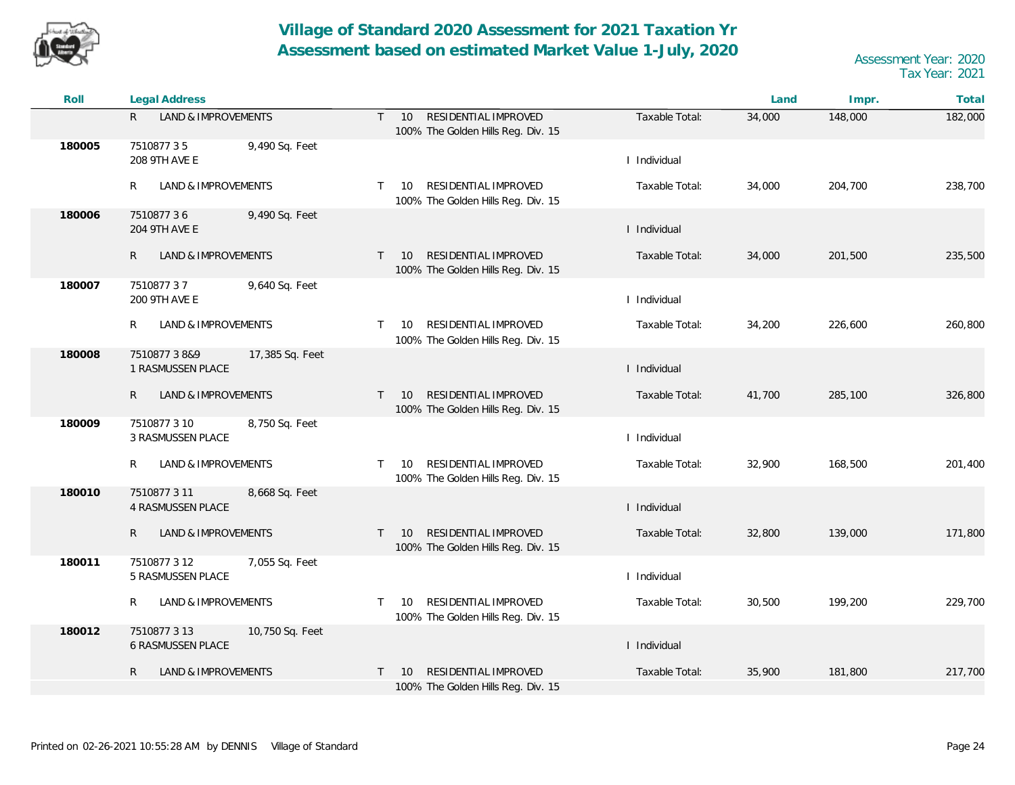

| Roll   | <b>Legal Address</b>                                      |                                                                              |                | Land   | Impr.   | Total   |
|--------|-----------------------------------------------------------|------------------------------------------------------------------------------|----------------|--------|---------|---------|
|        | R.<br>LAND & IMPROVEMENTS                                 | RESIDENTIAL IMPROVED<br>T<br>10<br>100% The Golden Hills Reg. Div. 15        | Taxable Total: | 34,000 | 148,000 | 182,000 |
| 180005 | 751087735<br>9,490 Sq. Feet<br>208 9TH AVE E              |                                                                              | I Individual   |        |         |         |
|        | R<br>LAND & IMPROVEMENTS                                  | RESIDENTIAL IMPROVED<br>$\top$<br>10<br>100% The Golden Hills Reg. Div. 15   | Taxable Total: | 34,000 | 204,700 | 238,700 |
| 180006 | 751087736<br>9,490 Sq. Feet<br>204 9TH AVE E              |                                                                              | I Individual   |        |         |         |
|        | R<br>LAND & IMPROVEMENTS                                  | RESIDENTIAL IMPROVED<br>$\top$<br>- 10<br>100% The Golden Hills Reg. Div. 15 | Taxable Total: | 34,000 | 201,500 | 235,500 |
| 180007 | 751087737<br>9,640 Sq. Feet<br>200 9TH AVE E              |                                                                              | I Individual   |        |         |         |
|        | R<br>LAND & IMPROVEMENTS                                  | RESIDENTIAL IMPROVED<br>$\top$<br>10<br>100% The Golden Hills Reg. Div. 15   | Taxable Total: | 34,200 | 226,600 | 260,800 |
| 180008 | 751087738&9<br>17,385 Sq. Feet<br>1 RASMUSSEN PLACE       |                                                                              | I Individual   |        |         |         |
|        | $\mathsf{R}$<br>LAND & IMPROVEMENTS                       | RESIDENTIAL IMPROVED<br>$\top$<br>10<br>100% The Golden Hills Reg. Div. 15   | Taxable Total: | 41,700 | 285,100 | 326,800 |
| 180009 | 7510877 3 10<br>8,750 Sq. Feet<br>3 RASMUSSEN PLACE       |                                                                              | I Individual   |        |         |         |
|        | R<br>LAND & IMPROVEMENTS                                  | RESIDENTIAL IMPROVED<br>$\top$<br>10<br>100% The Golden Hills Reg. Div. 15   | Taxable Total: | 32,900 | 168,500 | 201,400 |
| 180010 | 7510877 3 11<br>8,668 Sq. Feet<br>4 RASMUSSEN PLACE       |                                                                              | I Individual   |        |         |         |
|        | R.<br>LAND & IMPROVEMENTS                                 | RESIDENTIAL IMPROVED<br>$\top$<br>10<br>100% The Golden Hills Reg. Div. 15   | Taxable Total: | 32,800 | 139,000 | 171,800 |
| 180011 | 7510877 3 12<br>7,055 Sq. Feet<br>5 RASMUSSEN PLACE       |                                                                              | I Individual   |        |         |         |
|        | LAND & IMPROVEMENTS<br>R                                  | RESIDENTIAL IMPROVED<br>$\top$<br>10<br>100% The Golden Hills Reg. Div. 15   | Taxable Total: | 30,500 | 199,200 | 229,700 |
| 180012 | 7510877313<br>10,750 Sq. Feet<br><b>6 RASMUSSEN PLACE</b> |                                                                              | I Individual   |        |         |         |
|        | $\mathsf{R}$<br>LAND & IMPROVEMENTS                       | RESIDENTIAL IMPROVED<br>10<br>$\top$<br>100% The Golden Hills Reg. Div. 15   | Taxable Total: | 35,900 | 181,800 | 217,700 |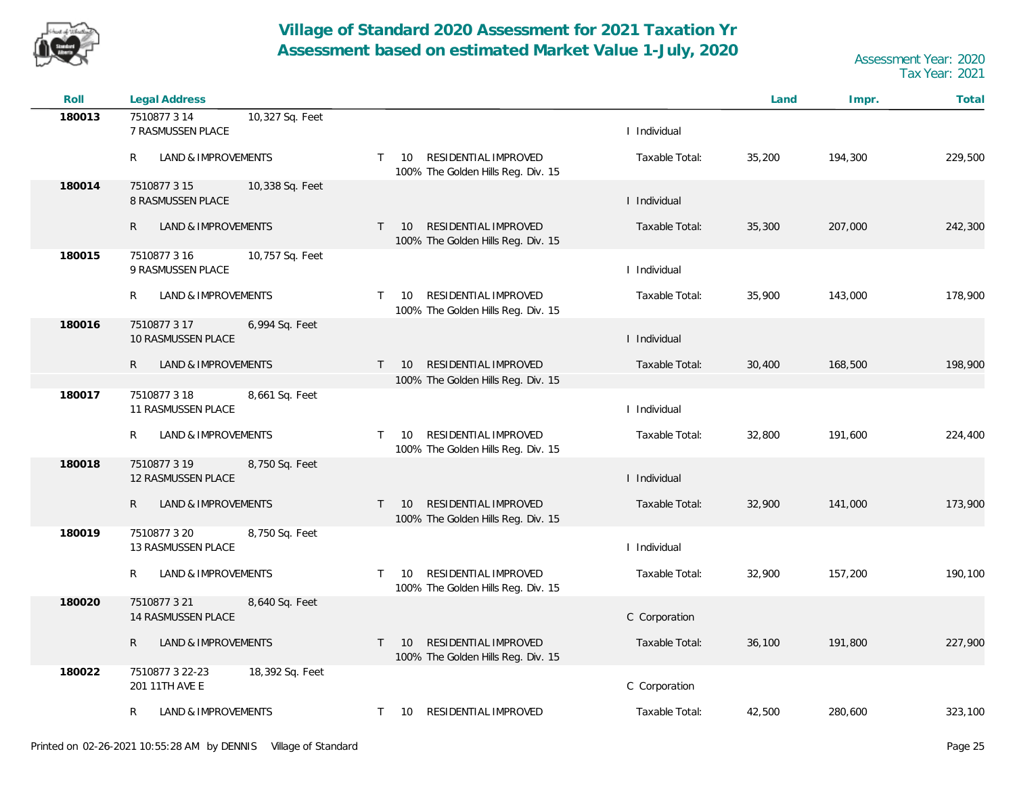

| Roll   | Legal Address                                        |                                                                                  |                | Land   | Impr.   | Total   |
|--------|------------------------------------------------------|----------------------------------------------------------------------------------|----------------|--------|---------|---------|
| 180013 | 7510877 3 14<br>10,327 Sq. Feet<br>7 RASMUSSEN PLACE |                                                                                  | I Individual   |        |         |         |
|        | R<br>LAND & IMPROVEMENTS                             | RESIDENTIAL IMPROVED<br>10<br>$\mathsf{T}$<br>100% The Golden Hills Reg. Div. 15 | Taxable Total: | 35,200 | 194,300 | 229,500 |
| 180014 | 7510877 3 15<br>10,338 Sq. Feet<br>8 RASMUSSEN PLACE |                                                                                  | I Individual   |        |         |         |
|        | $\mathsf{R}$<br>LAND & IMPROVEMENTS                  | RESIDENTIAL IMPROVED<br>$T = 10$<br>100% The Golden Hills Reg. Div. 15           | Taxable Total: | 35,300 | 207,000 | 242,300 |
| 180015 | 7510877 3 16<br>10,757 Sq. Feet<br>9 RASMUSSEN PLACE |                                                                                  | I Individual   |        |         |         |
|        | R<br>LAND & IMPROVEMENTS                             | RESIDENTIAL IMPROVED<br>$\mathsf{T}$<br>10<br>100% The Golden Hills Reg. Div. 15 | Taxable Total: | 35,900 | 143,000 | 178,900 |
| 180016 | 7510877317<br>6,994 Sq. Feet<br>10 RASMUSSEN PLACE   |                                                                                  | I Individual   |        |         |         |
|        | $\mathsf{R}$<br>LAND & IMPROVEMENTS                  | RESIDENTIAL IMPROVED<br>10<br>$\mathsf{T}$                                       | Taxable Total: | 30,400 | 168,500 | 198,900 |
| 180017 | 8,661 Sq. Feet<br>7510877 3 18                       | 100% The Golden Hills Reg. Div. 15                                               |                |        |         |         |
|        | 11 RASMUSSEN PLACE                                   |                                                                                  | I Individual   |        |         |         |
|        | LAND & IMPROVEMENTS<br>R                             | RESIDENTIAL IMPROVED<br>10<br>$\mathsf{T}$<br>100% The Golden Hills Reg. Div. 15 | Taxable Total: | 32,800 | 191,600 | 224,400 |
| 180018 | 7510877319<br>8,750 Sq. Feet<br>12 RASMUSSEN PLACE   |                                                                                  | I Individual   |        |         |         |
|        | $\mathsf{R}$<br>LAND & IMPROVEMENTS                  | RESIDENTIAL IMPROVED<br><b>10</b><br>T.<br>100% The Golden Hills Reg. Div. 15    | Taxable Total: | 32,900 | 141,000 | 173,900 |
| 180019 | 7510877 3 20<br>8,750 Sq. Feet<br>13 RASMUSSEN PLACE |                                                                                  | I Individual   |        |         |         |
|        |                                                      |                                                                                  |                |        |         |         |
|        | LAND & IMPROVEMENTS<br>R                             | RESIDENTIAL IMPROVED<br>10<br>$\mathsf{T}$<br>100% The Golden Hills Reg. Div. 15 | Taxable Total: | 32,900 | 157,200 | 190,100 |
| 180020 | 7510877321<br>8,640 Sq. Feet<br>14 RASMUSSEN PLACE   |                                                                                  | C Corporation  |        |         |         |
|        | R<br>LAND & IMPROVEMENTS                             | RESIDENTIAL IMPROVED<br>10<br>$\mathsf{T}$<br>100% The Golden Hills Reg. Div. 15 | Taxable Total: | 36,100 | 191,800 | 227,900 |
| 180022 | 7510877 3 22-23<br>18,392 Sq. Feet<br>201 11TH AVE E |                                                                                  | C Corporation  |        |         |         |
|        | LAND & IMPROVEMENTS<br>R                             | RESIDENTIAL IMPROVED<br>10<br>$\mathsf{T}$                                       | Taxable Total: | 42,500 | 280,600 | 323,100 |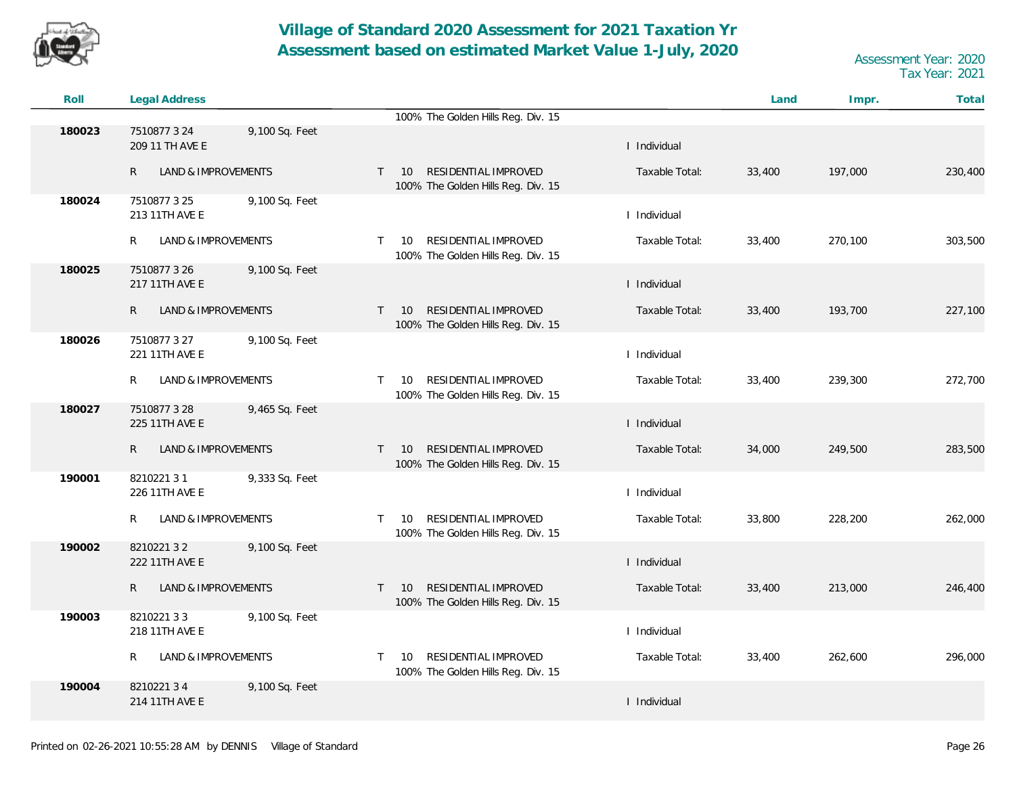

| Roll   | <b>Legal Address</b>                |                |              |                                                                               |                | Land   | Impr.   | Total   |
|--------|-------------------------------------|----------------|--------------|-------------------------------------------------------------------------------|----------------|--------|---------|---------|
|        |                                     |                |              | 100% The Golden Hills Reg. Div. 15                                            |                |        |         |         |
| 180023 | 7510877 3 24<br>209 11 TH AVE E     | 9,100 Sq. Feet |              |                                                                               | I Individual   |        |         |         |
|        | LAND & IMPROVEMENTS<br>R            |                | $\mathsf{T}$ | RESIDENTIAL IMPROVED<br>10 <sup>°</sup><br>100% The Golden Hills Reg. Div. 15 | Taxable Total: | 33,400 | 197,000 | 230,400 |
| 180024 | 7510877325<br>213 11TH AVE E        | 9,100 Sq. Feet |              |                                                                               | I Individual   |        |         |         |
|        | LAND & IMPROVEMENTS<br>R            |                | T.           | RESIDENTIAL IMPROVED<br>10<br>100% The Golden Hills Reg. Div. 15              | Taxable Total: | 33,400 | 270,100 | 303,500 |
| 180025 | 7510877 3 26<br>217 11TH AVE E      | 9,100 Sq. Feet |              |                                                                               | I Individual   |        |         |         |
|        | $\mathsf{R}$<br>LAND & IMPROVEMENTS |                |              | RESIDENTIAL IMPROVED<br>$T = 10$<br>100% The Golden Hills Reg. Div. 15        | Taxable Total: | 33,400 | 193,700 | 227,100 |
| 180026 | 7510877 3 27<br>221 11TH AVE E      | 9,100 Sq. Feet |              |                                                                               | I Individual   |        |         |         |
|        | R<br><b>LAND &amp; IMPROVEMENTS</b> |                | T.           | RESIDENTIAL IMPROVED<br>10<br>100% The Golden Hills Reg. Div. 15              | Taxable Total: | 33,400 | 239,300 | 272,700 |
| 180027 | 7510877328<br>225 11TH AVE E        | 9,465 Sq. Feet |              |                                                                               | I Individual   |        |         |         |
|        | LAND & IMPROVEMENTS<br>R.           |                | $\mathsf{T}$ | RESIDENTIAL IMPROVED<br>10<br>100% The Golden Hills Reg. Div. 15              | Taxable Total: | 34,000 | 249,500 | 283,500 |
| 190001 | 821022131<br>226 11TH AVE E         | 9,333 Sq. Feet |              |                                                                               | I Individual   |        |         |         |
|        | LAND & IMPROVEMENTS<br>R            |                | T.           | RESIDENTIAL IMPROVED<br>10<br>100% The Golden Hills Reg. Div. 15              | Taxable Total: | 33,800 | 228,200 | 262,000 |
| 190002 | 821022132<br>222 11TH AVE E         | 9,100 Sq. Feet |              |                                                                               | I Individual   |        |         |         |
|        | LAND & IMPROVEMENTS<br>R.           |                |              | RESIDENTIAL IMPROVED<br>$T = 10$<br>100% The Golden Hills Reg. Div. 15        | Taxable Total: | 33,400 | 213,000 | 246,400 |
| 190003 | 821022133<br>218 11TH AVE E         | 9,100 Sq. Feet |              |                                                                               | I Individual   |        |         |         |
|        | LAND & IMPROVEMENTS<br>R            |                | T.           | RESIDENTIAL IMPROVED<br>10<br>100% The Golden Hills Reg. Div. 15              | Taxable Total: | 33,400 | 262,600 | 296,000 |
| 190004 | 821022134<br>214 11TH AVE E         | 9,100 Sq. Feet |              |                                                                               | I Individual   |        |         |         |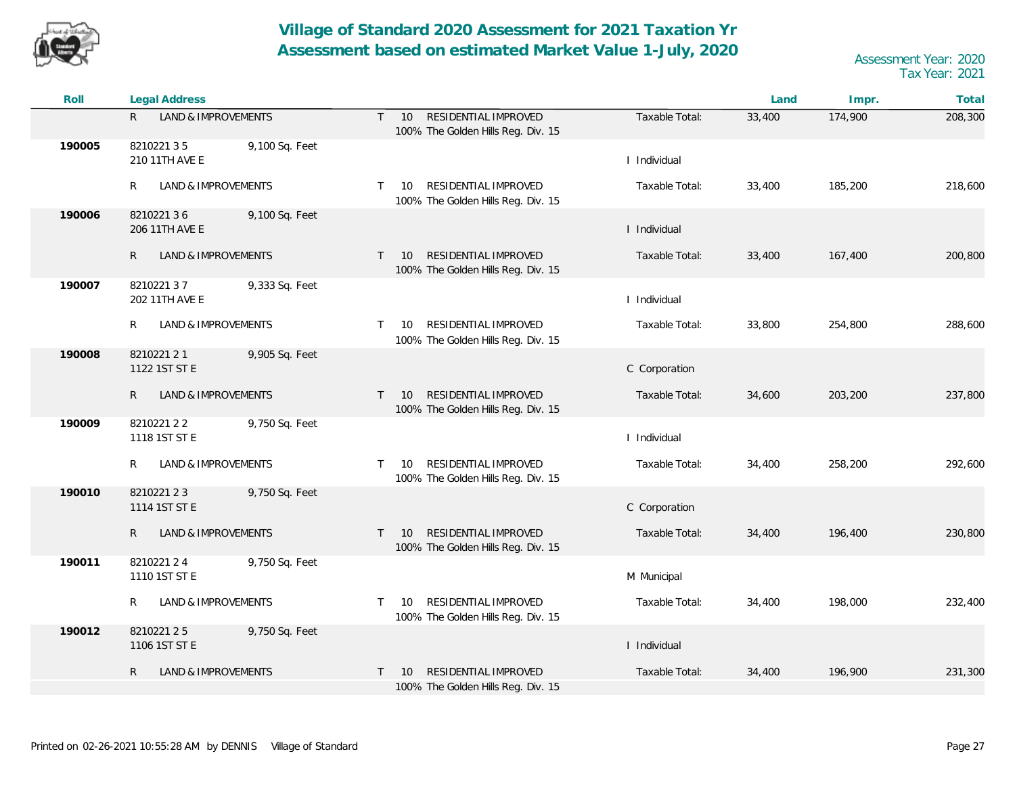

| Roll   | Legal Address                                  |                                                                                  |                | Land   | Impr.   | Total   |
|--------|------------------------------------------------|----------------------------------------------------------------------------------|----------------|--------|---------|---------|
|        | R.<br>LAND & IMPROVEMENTS                      | RESIDENTIAL IMPROVED<br>$\top$<br>10<br>100% The Golden Hills Reg. Div. 15       | Taxable Total: | 33,400 | 174,900 | 208,300 |
| 190005 | 821022135<br>9,100 Sq. Feet<br>210 11TH AVE E  |                                                                                  | I Individual   |        |         |         |
|        | R<br>LAND & IMPROVEMENTS                       | RESIDENTIAL IMPROVED<br>$\mathsf{T}$<br>10<br>100% The Golden Hills Reg. Div. 15 | Taxable Total: | 33,400 | 185,200 | 218,600 |
| 190006 | 821022136<br>9,100 Sq. Feet<br>206 11TH AVE E  |                                                                                  | I Individual   |        |         |         |
|        | $\mathsf{R}$<br>LAND & IMPROVEMENTS            | RESIDENTIAL IMPROVED<br>10<br>$\top$<br>100% The Golden Hills Reg. Div. 15       | Taxable Total: | 33,400 | 167,400 | 200,800 |
| 190007 | 821022137<br>9,333 Sq. Feet<br>202 11TH AVE E  |                                                                                  | I Individual   |        |         |         |
|        | R<br>LAND & IMPROVEMENTS                       | RESIDENTIAL IMPROVED<br>$\top$<br>10<br>100% The Golden Hills Reg. Div. 15       | Taxable Total: | 33,800 | 254,800 | 288,600 |
| 190008 | 8210221 2 1<br>9,905 Sq. Feet<br>1122 1ST ST E |                                                                                  | C Corporation  |        |         |         |
|        | $\mathsf{R}$<br>LAND & IMPROVEMENTS            | RESIDENTIAL IMPROVED<br>$\top$<br>10<br>100% The Golden Hills Reg. Div. 15       | Taxable Total: | 34,600 | 203,200 | 237,800 |
| 190009 | 821022122<br>9,750 Sq. Feet<br>1118 1ST ST E   |                                                                                  | I Individual   |        |         |         |
|        | LAND & IMPROVEMENTS<br>R                       | RESIDENTIAL IMPROVED<br>10<br>$\top$<br>100% The Golden Hills Reg. Div. 15       | Taxable Total: | 34,400 | 258,200 | 292,600 |
| 190010 | 821022123<br>9,750 Sq. Feet<br>1114 1ST ST E   |                                                                                  | C Corporation  |        |         |         |
|        | R.<br>LAND & IMPROVEMENTS                      | RESIDENTIAL IMPROVED<br>$\top$<br>10<br>100% The Golden Hills Reg. Div. 15       | Taxable Total: | 34,400 | 196,400 | 230,800 |
| 190011 | 8210221 2 4<br>9,750 Sq. Feet<br>1110 1ST ST E |                                                                                  | M Municipal    |        |         |         |
|        | LAND & IMPROVEMENTS<br>R                       | RESIDENTIAL IMPROVED<br>$\top$<br>10<br>100% The Golden Hills Reg. Div. 15       | Taxable Total: | 34,400 | 198,000 | 232,400 |
| 190012 | 821022125<br>9,750 Sq. Feet<br>1106 1ST ST E   |                                                                                  | I Individual   |        |         |         |
|        | $\mathsf{R}$<br>LAND & IMPROVEMENTS            | RESIDENTIAL IMPROVED<br>10<br>$\top$<br>100% The Golden Hills Reg. Div. 15       | Taxable Total: | 34,400 | 196,900 | 231,300 |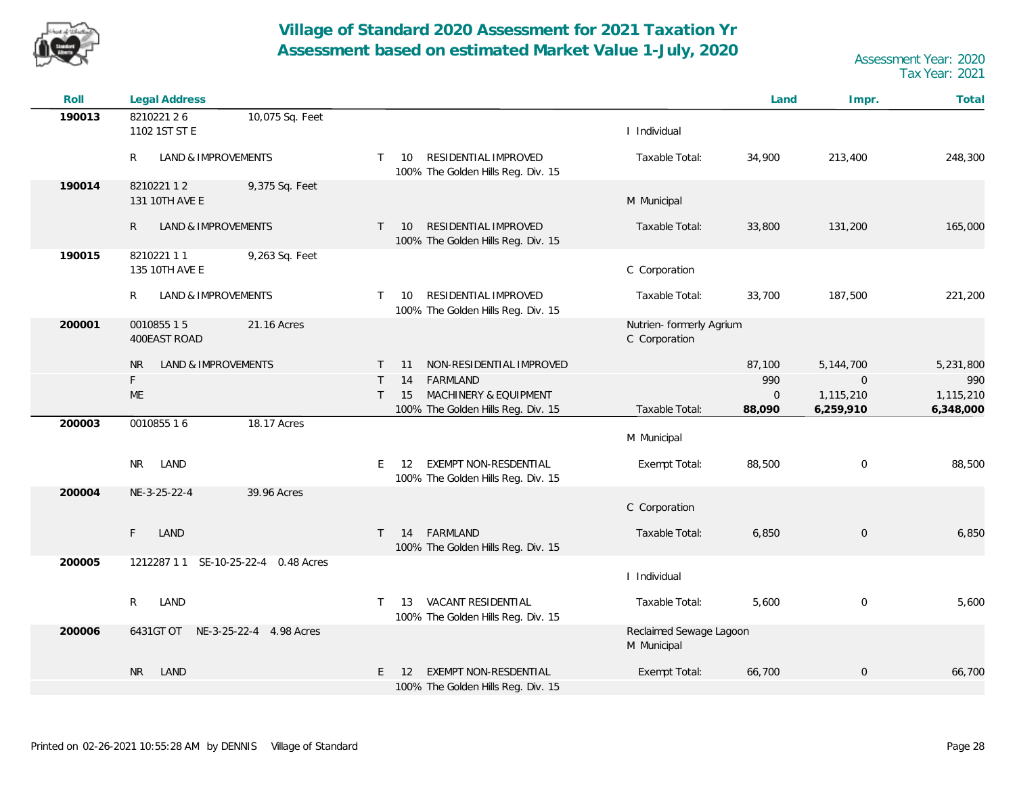

| Roll   | Legal Address                                 |                                                                                   |                                           | Land                   | Impr.                  | Total                  |
|--------|-----------------------------------------------|-----------------------------------------------------------------------------------|-------------------------------------------|------------------------|------------------------|------------------------|
| 190013 | 821022126<br>10,075 Sq. Feet<br>1102 1ST ST E |                                                                                   | I Individual                              |                        |                        |                        |
|        | LAND & IMPROVEMENTS<br>R                      | 10 RESIDENTIAL IMPROVED<br>$\top$<br>100% The Golden Hills Reg. Div. 15           | Taxable Total:                            | 34,900                 | 213,400                | 248,300                |
| 190014 | 821022112<br>9,375 Sq. Feet<br>131 10TH AVE E |                                                                                   | M Municipal                               |                        |                        |                        |
|        | LAND & IMPROVEMENTS<br>R                      | RESIDENTIAL IMPROVED<br>10<br>$\mathsf{T}$<br>100% The Golden Hills Reg. Div. 15  | Taxable Total:                            | 33,800                 | 131,200                | 165,000                |
| 190015 | 821022111<br>9,263 Sq. Feet<br>135 10TH AVE E |                                                                                   | C Corporation                             |                        |                        |                        |
|        | R<br>LAND & IMPROVEMENTS                      | RESIDENTIAL IMPROVED<br>10<br>$\top$<br>100% The Golden Hills Reg. Div. 15        | Taxable Total:                            | 33,700                 | 187,500                | 221,200                |
| 200001 | 0010855 15<br>21.16 Acres<br>400EAST ROAD     |                                                                                   | Nutrien- formerly Agrium<br>C Corporation |                        |                        |                        |
|        | LAND & IMPROVEMENTS<br><b>NR</b>              | NON-RESIDENTIAL IMPROVED<br>11<br>T.                                              |                                           | 87,100                 | 5, 144, 700            | 5,231,800              |
|        | F                                             | FARMLAND<br>14<br>$\top$                                                          |                                           | 990                    | $\mathbf 0$            | 990                    |
|        | <b>ME</b>                                     | $\mathsf{T}$<br>15<br>MACHINERY & EQUIPMENT<br>100% The Golden Hills Reg. Div. 15 | Taxable Total:                            | $\mathbf{0}$<br>88,090 | 1,115,210<br>6,259,910 | 1,115,210<br>6,348,000 |
| 200003 | 18.17 Acres<br>0010855 16                     |                                                                                   | M Municipal                               |                        |                        |                        |
|        | LAND<br>NR.                                   | 12 EXEMPT NON-RESDENTIAL<br>E<br>100% The Golden Hills Reg. Div. 15               | Exempt Total:                             | 88,500                 | $\mathbf 0$            | 88,500                 |
| 200004 | NE-3-25-22-4<br>39.96 Acres                   |                                                                                   | C Corporation                             |                        |                        |                        |
|        | F.<br>LAND                                    | 14 FARMLAND<br>$\mathsf{T}$<br>100% The Golden Hills Reg. Div. 15                 | Taxable Total:                            | 6,850                  | $\overline{0}$         | 6,850                  |
| 200005 | 1212287 1 1 SE-10-25-22-4 0.48 Acres          |                                                                                   | I Individual                              |                        |                        |                        |
|        | R<br>LAND                                     | 13 VACANT RESIDENTIAL<br>100% The Golden Hills Reg. Div. 15                       | Taxable Total:                            | 5,600                  | $\overline{0}$         | 5,600                  |
| 200006 | 6431GT OT NE-3-25-22-4 4.98 Acres             |                                                                                   | Reclaimed Sewage Lagoon<br>M Municipal    |                        |                        |                        |
|        | <b>NR</b><br>LAND                             | EXEMPT NON-RESDENTIAL<br>E.<br>12<br>100% The Golden Hills Reg. Div. 15           | Exempt Total:                             | 66,700                 | $\overline{0}$         | 66,700                 |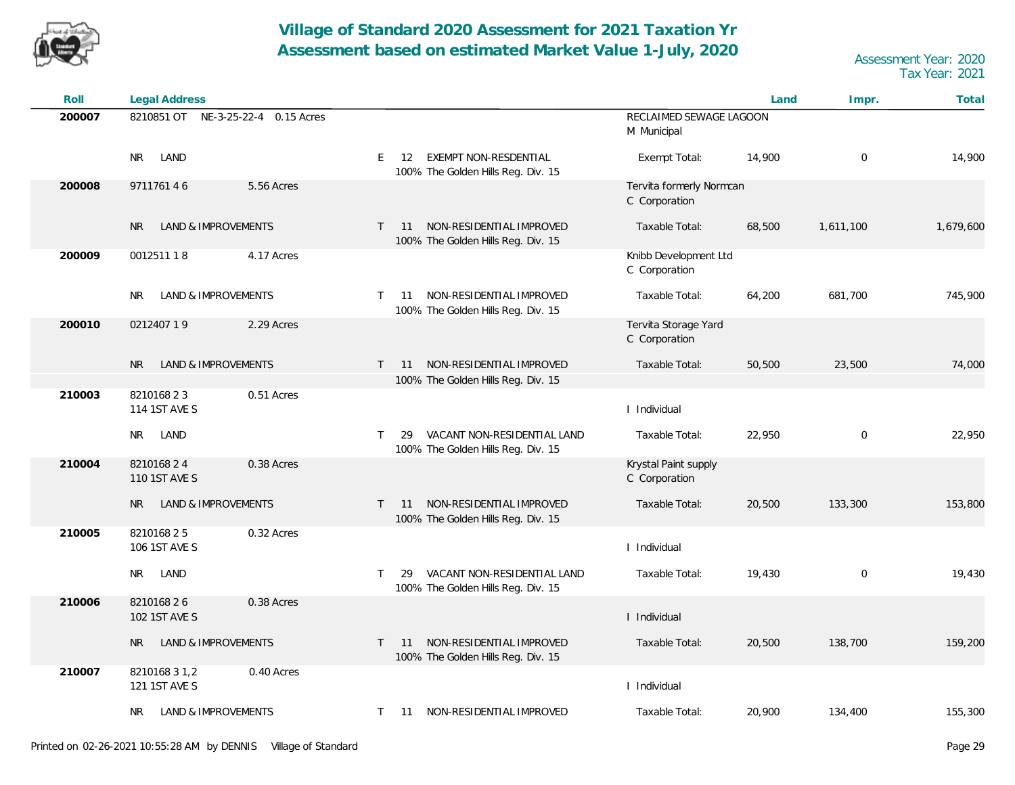

| Roll   | Legal Address                                |                                                                                   |                                           | Land   | Impr.          | Total     |
|--------|----------------------------------------------|-----------------------------------------------------------------------------------|-------------------------------------------|--------|----------------|-----------|
| 200007 | 8210851 OT NE-3-25-22-4 0.15 Acres           |                                                                                   | RECLAIMED SEWAGE LAGOON<br>M Municipal    |        |                |           |
|        | LAND<br>NR.                                  | 12 EXEMPT NON-RESDENTIAL<br>E<br>100% The Golden Hills Reg. Div. 15               | Exempt Total:                             | 14,900 | $\overline{0}$ | 14,900    |
| 200008 | 971176146<br>5.56 Acres                      |                                                                                   | Tervita formerly Normcan<br>C Corporation |        |                |           |
|        | <b>LAND &amp; IMPROVEMENTS</b><br>NR.        | NON-RESIDENTIAL IMPROVED<br>11<br>$\top$<br>100% The Golden Hills Reg. Div. 15    | Taxable Total:                            | 68,500 | 1,611,100      | 1,679,600 |
| 200009 | 001251118<br>4.17 Acres                      |                                                                                   | Knibb Development Ltd<br>C Corporation    |        |                |           |
|        | LAND & IMPROVEMENTS<br>NR.                   | NON-RESIDENTIAL IMPROVED<br>$\top$<br>11<br>100% The Golden Hills Reg. Div. 15    | Taxable Total:                            | 64,200 | 681,700        | 745,900   |
| 200010 | 021240719<br>2.29 Acres                      |                                                                                   | Tervita Storage Yard<br>C Corporation     |        |                |           |
|        | <b>LAND &amp; IMPROVEMENTS</b><br><b>NR</b>  | NON-RESIDENTIAL IMPROVED<br>$\mathsf{T}$<br>11                                    | Taxable Total:                            | 50,500 | 23,500         | 74,000    |
| 210003 | 0.51 Acres<br>821016823                      | 100% The Golden Hills Reg. Div. 15                                                |                                           |        |                |           |
|        | 114 1ST AVE S                                |                                                                                   | I Individual                              |        |                |           |
|        | LAND<br>NR.                                  | VACANT NON-RESIDENTIAL LAND<br>T<br>29<br>100% The Golden Hills Reg. Div. 15      | Taxable Total:                            | 22,950 | $\mathbf 0$    | 22,950    |
| 210004 | 821016824<br>0.38 Acres<br>110 1ST AVE S     |                                                                                   | Krystal Paint supply<br>C Corporation     |        |                |           |
|        | LAND & IMPROVEMENTS<br>NR.                   | NON-RESIDENTIAL IMPROVED<br>11<br>$\top$<br>100% The Golden Hills Reg. Div. 15    | Taxable Total:                            | 20,500 | 133,300        | 153,800   |
| 210005 | 0.32 Acres<br>821016825<br>106 1ST AVE S     |                                                                                   | I Individual                              |        |                |           |
|        | NR<br>LAND                                   | VACANT NON-RESIDENTIAL LAND<br>$\top$<br>29<br>100% The Golden Hills Reg. Div. 15 | Taxable Total:                            | 19,430 | $\mathbf 0$    | 19,430    |
| 210006 | 821016826<br>0.38 Acres<br>102 1ST AVE S     |                                                                                   | I Individual                              |        |                |           |
|        | <b>LAND &amp; IMPROVEMENTS</b><br>NR.        | NON-RESIDENTIAL IMPROVED<br>$\top$<br>11<br>100% The Golden Hills Reg. Div. 15    | Taxable Total:                            | 20,500 | 138,700        | 159,200   |
| 210007 | 0.40 Acres<br>8210168 3 1,2<br>121 1ST AVE S |                                                                                   | I Individual                              |        |                |           |
|        | LAND & IMPROVEMENTS<br>NR                    | 11 NON-RESIDENTIAL IMPROVED<br>$\mathsf{T}$                                       | Taxable Total:                            | 20,900 | 134,400        | 155,300   |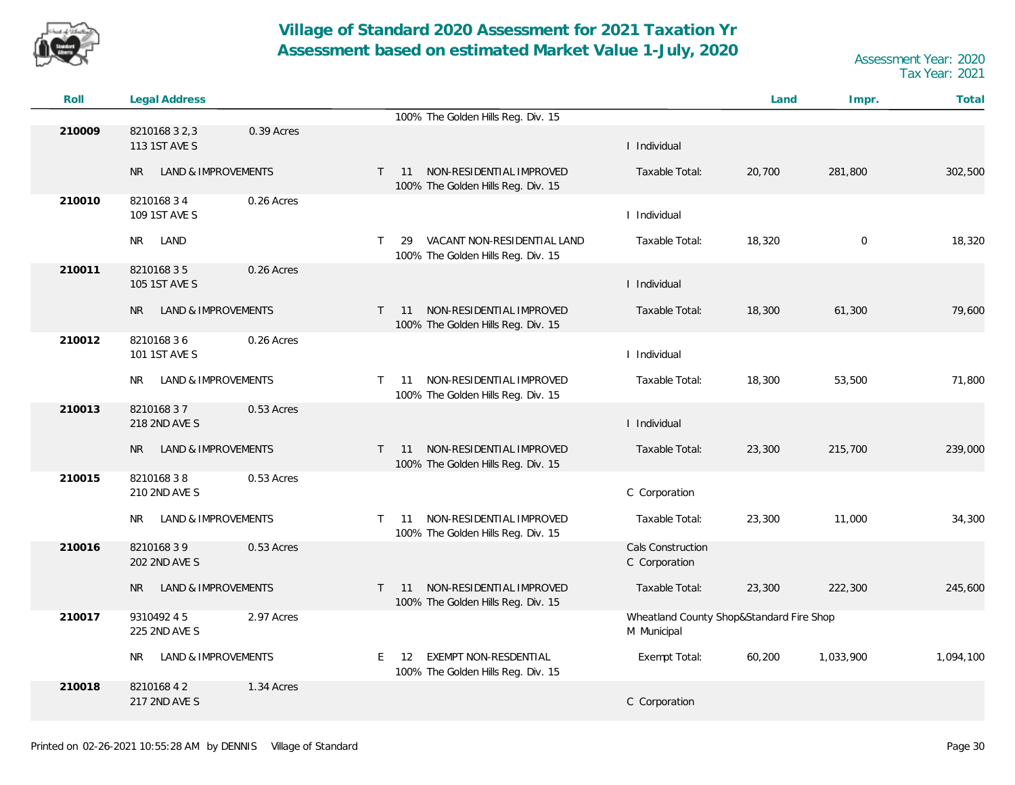

| Roll   | Legal Address                                 |                                                                                                           | Land   | Impr.       | Total     |
|--------|-----------------------------------------------|-----------------------------------------------------------------------------------------------------------|--------|-------------|-----------|
|        |                                               | 100% The Golden Hills Reg. Div. 15                                                                        |        |             |           |
| 210009 | 8210168 3 2, 3<br>0.39 Acres<br>113 1ST AVE S | I Individual                                                                                              |        |             |           |
|        | LAND & IMPROVEMENTS<br>NR                     | NON-RESIDENTIAL IMPROVED<br>11<br>Taxable Total:<br>$\mathsf{T}$<br>100% The Golden Hills Reg. Div. 15    | 20,700 | 281,800     | 302,500   |
| 210010 | 0.26 Acres<br>821016834<br>109 1ST AVE S      | I Individual                                                                                              |        |             |           |
|        | NR.<br>LAND                                   | VACANT NON-RESIDENTIAL LAND<br>Taxable Total:<br>$\mathsf{T}$<br>29<br>100% The Golden Hills Reg. Div. 15 | 18,320 | $\mathbf 0$ | 18,320    |
| 210011 | 821016835<br>0.26 Acres<br>105 1ST AVE S      | I Individual                                                                                              |        |             |           |
|        | <b>LAND &amp; IMPROVEMENTS</b><br><b>NR</b>   | NON-RESIDENTIAL IMPROVED<br>Taxable Total:<br>$T = 11$<br>100% The Golden Hills Reg. Div. 15              | 18,300 | 61,300      | 79,600    |
| 210012 | 821016836<br>0.26 Acres<br>101 1ST AVE S      | I Individual                                                                                              |        |             |           |
|        | LAND & IMPROVEMENTS<br>NR.                    | NON-RESIDENTIAL IMPROVED<br>Taxable Total:<br>$\mathsf{T}$<br>11<br>100% The Golden Hills Reg. Div. 15    | 18,300 | 53,500      | 71,800    |
| 210013 | 821016837<br>0.53 Acres<br>218 2ND AVE S      | I Individual                                                                                              |        |             |           |
|        | LAND & IMPROVEMENTS<br>NR.                    | NON-RESIDENTIAL IMPROVED<br>Taxable Total:<br>11<br>$\top$<br>100% The Golden Hills Reg. Div. 15          | 23,300 | 215,700     | 239,000   |
| 210015 | 821016838<br>0.53 Acres<br>210 2ND AVE S      | C Corporation                                                                                             |        |             |           |
|        | LAND & IMPROVEMENTS<br>NR.                    | NON-RESIDENTIAL IMPROVED<br>Taxable Total:<br>$\mathsf{T}$<br>11<br>100% The Golden Hills Reg. Div. 15    | 23,300 | 11,000      | 34,300    |
| 210016 | 821016839<br>0.53 Acres<br>202 2ND AVE S      | Cals Construction<br>C Corporation                                                                        |        |             |           |
|        | <b>LAND &amp; IMPROVEMENTS</b><br><b>NR</b>   | NON-RESIDENTIAL IMPROVED<br>Taxable Total:<br>$\mathsf{T}$<br>11<br>100% The Golden Hills Reg. Div. 15    | 23,300 | 222,300     | 245,600   |
| 210017 | 9310492 45<br>2.97 Acres<br>225 2ND AVE S     | Wheatland County Shop&Standard Fire Shop<br>M Municipal                                                   |        |             |           |
|        | LAND & IMPROVEMENTS<br>NR.                    | EXEMPT NON-RESDENTIAL<br>E.<br>Exempt Total:<br>12<br>100% The Golden Hills Reg. Div. 15                  | 60,200 | 1,033,900   | 1,094,100 |
| 210018 | 821016842<br>1.34 Acres<br>217 2ND AVE S      | C Corporation                                                                                             |        |             |           |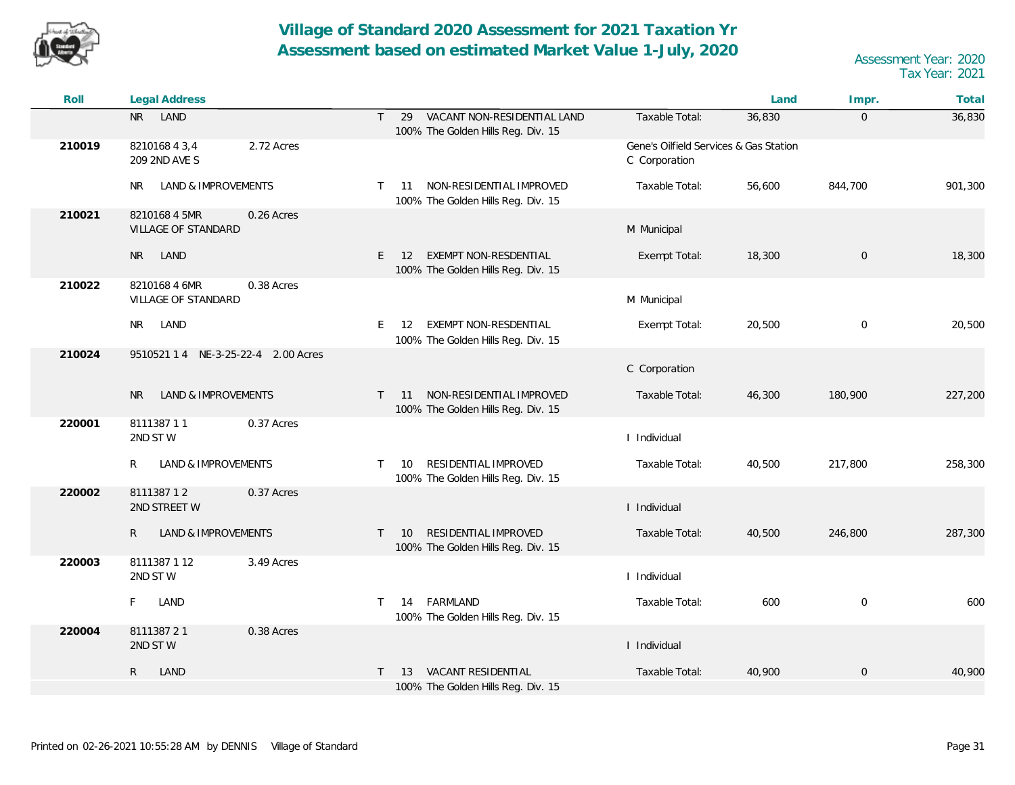

| Roll   | <b>Legal Address</b>                               |                                                                                         |                                                         | Land   | Impr.               | Total   |
|--------|----------------------------------------------------|-----------------------------------------------------------------------------------------|---------------------------------------------------------|--------|---------------------|---------|
|        | LAND<br><b>NR</b>                                  | VACANT NON-RESIDENTIAL LAND<br>$\mathsf{T}$<br>29<br>100% The Golden Hills Reg. Div. 15 | Taxable Total:                                          | 36,830 | $\overline{0}$      | 36,830  |
| 210019 | 821016843,4<br>2.72 Acres<br>209 2ND AVE S         |                                                                                         | Gene's Oilfield Services & Gas Station<br>C Corporation |        |                     |         |
|        | LAND & IMPROVEMENTS<br>NR                          | NON-RESIDENTIAL IMPROVED<br>$\mathsf{T}$<br>11<br>100% The Golden Hills Reg. Div. 15    | Taxable Total:                                          | 56,600 | 844,700             | 901,300 |
| 210021 | 8210168 4 5MR<br>0.26 Acres<br>VILLAGE OF STANDARD |                                                                                         | M Municipal                                             |        |                     |         |
|        | LAND<br>NR                                         | EXEMPT NON-RESDENTIAL<br>E.<br><sup>12</sup><br>100% The Golden Hills Reg. Div. 15      | Exempt Total:                                           | 18,300 | $\overline{0}$      | 18,300  |
| 210022 | 0.38 Acres<br>821016846MR<br>VILLAGE OF STANDARD   |                                                                                         | M Municipal                                             |        |                     |         |
|        | LAND<br>NR.                                        | EXEMPT NON-RESDENTIAL<br>E.<br>12<br>100% The Golden Hills Reg. Div. 15                 | Exempt Total:                                           | 20,500 | $\mathbf 0$         | 20,500  |
| 210024 | 9510521 1 4 NE-3-25-22-4 2.00 Acres                |                                                                                         | C Corporation                                           |        |                     |         |
|        | <b>LAND &amp; IMPROVEMENTS</b><br>NR.              | NON-RESIDENTIAL IMPROVED<br>11<br>T.<br>100% The Golden Hills Reg. Div. 15              | Taxable Total:                                          | 46,300 | 180,900             | 227,200 |
| 220001 | 811138711<br>0.37 Acres<br>2ND STW                 |                                                                                         | I Individual                                            |        |                     |         |
|        | LAND & IMPROVEMENTS<br>R                           | RESIDENTIAL IMPROVED<br>10<br>$\mathsf{T}$<br>100% The Golden Hills Reg. Div. 15        | Taxable Total:                                          | 40,500 | 217,800             | 258,300 |
| 220002 | 811138712<br>0.37 Acres<br>2ND STREET W            |                                                                                         | I Individual                                            |        |                     |         |
|        | $\mathsf{R}$<br>LAND & IMPROVEMENTS                | RESIDENTIAL IMPROVED<br>$\top$<br>10<br>100% The Golden Hills Reg. Div. 15              | Taxable Total:                                          | 40,500 | 246,800             | 287,300 |
| 220003 | 3.49 Acres<br>8111387112<br>2ND STW                |                                                                                         | I Individual                                            |        |                     |         |
|        | F<br>LAND                                          | FARMLAND<br>14<br>T.<br>100% The Golden Hills Reg. Div. 15                              | Taxable Total:                                          | 600    | $\boldsymbol{0}$    | 600     |
| 220004 | 811138721<br>0.38 Acres<br>2ND STW                 |                                                                                         | I Individual                                            |        |                     |         |
|        | $\mathsf{R}$<br>LAND                               | VACANT RESIDENTIAL<br>13<br>100% The Golden Hills Reg. Div. 15                          | Taxable Total:                                          | 40,900 | $\mathsf{O}\xspace$ | 40,900  |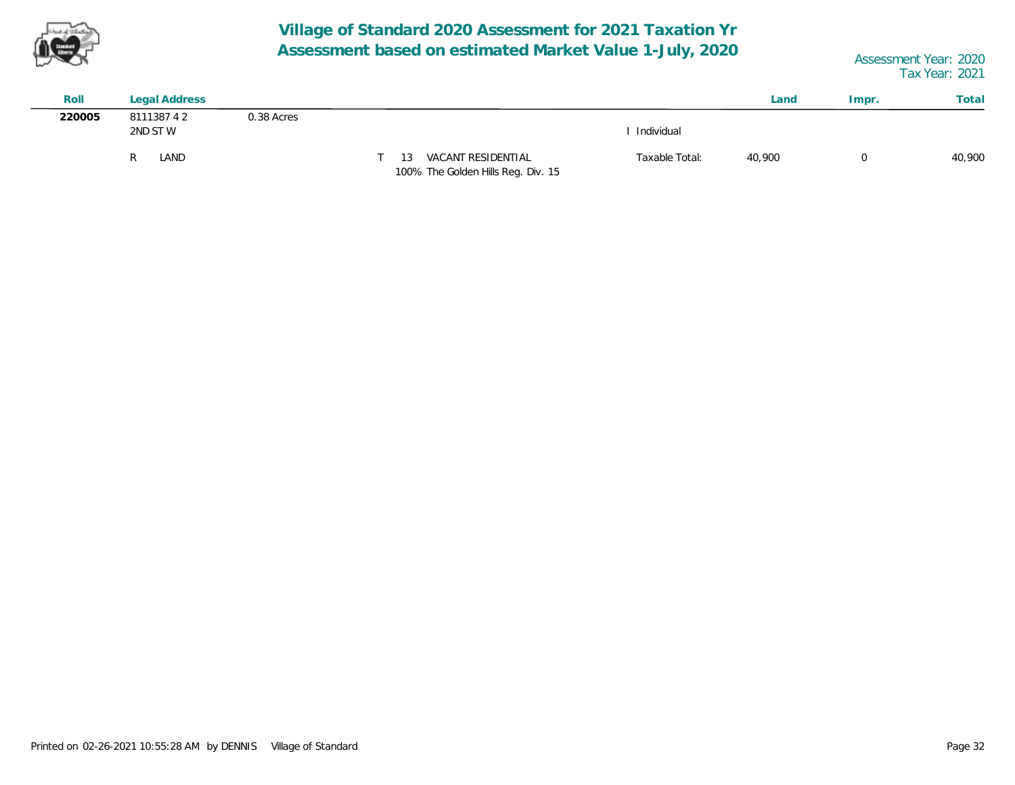

| Roll   | Legal Address         |            |                                                                 |                | Land   | Impr. | Total  |
|--------|-----------------------|------------|-----------------------------------------------------------------|----------------|--------|-------|--------|
| 220005 | 811138742<br>2ND ST W | 0.38 Acres |                                                                 | Individual     |        |       |        |
|        | LAND                  |            | VACANT RESIDENTIAL<br>13.<br>100% The Golden Hills Reg. Div. 15 | Taxable Total: | 40,900 |       | 40,900 |